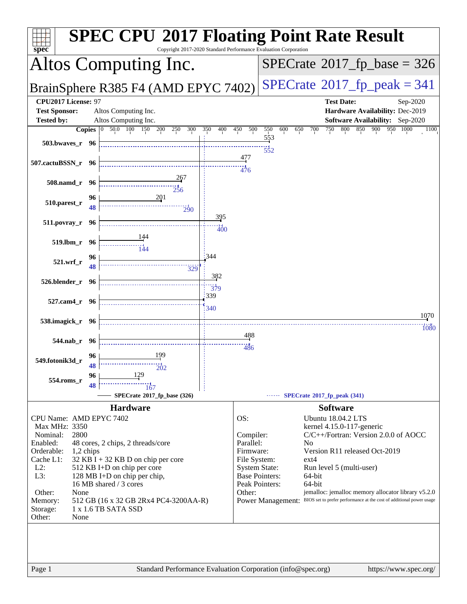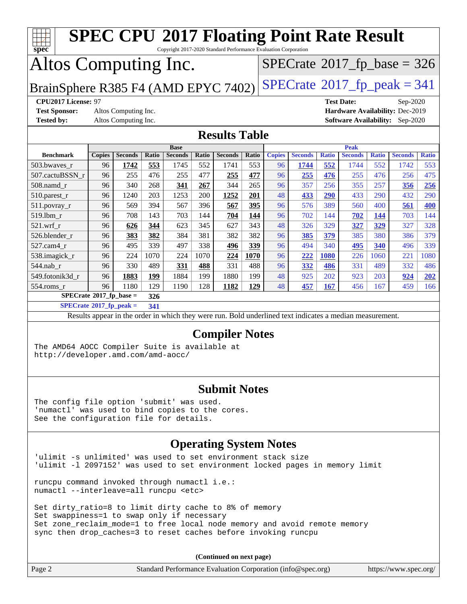| <b>SPEC CPU®2017 Floating Point Rate Result</b><br>Copyright 2017-2020 Standard Performance Evaluation Corporation<br>$spec^*$ |                                                                                 |                      |       |                |       |                                                                                                          |              |               |                |              |                   |              |                                        |              |
|--------------------------------------------------------------------------------------------------------------------------------|---------------------------------------------------------------------------------|----------------------|-------|----------------|-------|----------------------------------------------------------------------------------------------------------|--------------|---------------|----------------|--------------|-------------------|--------------|----------------------------------------|--------------|
| $SPECrate$ <sup>®</sup> 2017_fp_base = 326                                                                                     |                                                                                 |                      |       |                |       |                                                                                                          |              |               |                |              |                   |              |                                        |              |
|                                                                                                                                | Altos Computing Inc.                                                            |                      |       |                |       |                                                                                                          |              |               |                |              |                   |              |                                        |              |
|                                                                                                                                | $SPECTate@2017_fp\_peak = 341$<br>BrainSphere R385 F4 (AMD EPYC 7402)           |                      |       |                |       |                                                                                                          |              |               |                |              |                   |              |                                        |              |
| CPU2017 License: 97                                                                                                            |                                                                                 |                      |       |                |       |                                                                                                          |              |               |                |              | <b>Test Date:</b> |              | Sep-2020                               |              |
|                                                                                                                                | <b>Test Sponsor:</b><br>Altos Computing Inc.<br>Hardware Availability: Dec-2019 |                      |       |                |       |                                                                                                          |              |               |                |              |                   |              |                                        |              |
| <b>Tested by:</b>                                                                                                              |                                                                                 | Altos Computing Inc. |       |                |       |                                                                                                          |              |               |                |              |                   |              | <b>Software Availability:</b> Sep-2020 |              |
|                                                                                                                                |                                                                                 |                      |       |                |       | <b>Results Table</b>                                                                                     |              |               |                |              |                   |              |                                        |              |
|                                                                                                                                |                                                                                 |                      |       | <b>Base</b>    |       |                                                                                                          |              |               |                |              | <b>Peak</b>       |              |                                        |              |
| <b>Benchmark</b>                                                                                                               | <b>Copies</b>                                                                   | <b>Seconds</b>       | Ratio | <b>Seconds</b> | Ratio | <b>Seconds</b>                                                                                           | <b>Ratio</b> | <b>Copies</b> | <b>Seconds</b> | <b>Ratio</b> | <b>Seconds</b>    | <b>Ratio</b> | <b>Seconds</b>                         | <b>Ratio</b> |
| 503.bwaves_r                                                                                                                   | 96                                                                              | 1742                 | 553   | 1745           | 552   | 1741                                                                                                     | 553          | 96            | 1744           | 552          | 1744              | 552          | 1742                                   | 553          |
| 507.cactuBSSN_r                                                                                                                | 96                                                                              | 255                  | 476   | 255            | 477   | 255                                                                                                      | 477          | 96            | 255            | 476          | 255               | 476          | 256                                    | 475          |
| 508.namd_r                                                                                                                     | 96                                                                              | 340                  | 268   | 341            | 267   | 344                                                                                                      | 265          | 96            | 357            | 256          | 355               | 257          | 356                                    | 256          |
| 510.parest_r                                                                                                                   | 96                                                                              | 1240                 | 203   | 1253           | 200   | 1252                                                                                                     | 201          | 48            | 433            | 290          | 433               | 290          | 432                                    | 290          |
| 511.povray_r                                                                                                                   | 96                                                                              | 569                  | 394   | 567            | 396   | 567                                                                                                      | 395          | 96            | 576            | 389          | 560               | 400          | 561                                    | 400          |
| 519.1bm_r                                                                                                                      | 96                                                                              | 708                  | 143   | 703            | 144   | 704                                                                                                      | 144          | 96            | 702            | 144          | 702               | 144          | 703                                    | 144          |
| $521.wrf_r$                                                                                                                    | 96                                                                              | 626                  | 344   | 623            | 345   | 627                                                                                                      | 343          | 48            | 326            | 329          | 327               | 329          | 327                                    | 328          |
| 526.blender_r                                                                                                                  | 96                                                                              | 383                  | 382   | 384            | 381   | 382                                                                                                      | 382          | 96            | 385            | 379          | 385               | 380          | 386                                    | 379          |
| 527.cam4_r                                                                                                                     | 96                                                                              | 495                  | 339   | 497            | 338   | 496                                                                                                      | 339          | 96            | 494            | 340          | 495               | 340          | 496                                    | 339          |
| 538.imagick_r                                                                                                                  | 96                                                                              | 224                  | 1070  | 224            | 1070  | 224                                                                                                      | 1070         | 96            | 222            | 1080         | 226               | 1060         | 221                                    | 1080         |
| 544.nab_r                                                                                                                      | 96                                                                              | 330                  | 489   | 331            | 488   | 331                                                                                                      | 488          | 96            | 332            | 486          | 331               | 489          | 332                                    | 486          |
| 549.fotonik3d_r                                                                                                                | 96                                                                              | 1883                 | 199   | 1884           | 199   | 1880                                                                                                     | 199          | 48            | 925            | 202          | 923               | 203          | 924                                    | 202          |
| 554.roms_r                                                                                                                     | 96                                                                              | 1180                 | 129   | 1190           | 128   | 1182                                                                                                     | 129          | 48            | 457            | <b>167</b>   | 456               | 167          | 459                                    | 166          |
| SPECrate®2017_fp_base =                                                                                                        |                                                                                 |                      | 326   |                |       |                                                                                                          |              |               |                |              |                   |              |                                        |              |
| $SPECrate^{\circ}2017$ _fp_peak =                                                                                              |                                                                                 |                      | 341   |                |       |                                                                                                          |              |               |                |              |                   |              |                                        |              |
|                                                                                                                                |                                                                                 |                      |       |                |       | Results appear in the order in which they were run. Bold underlined text indicates a median measurement. |              |               |                |              |                   |              |                                        |              |
|                                                                                                                                |                                                                                 |                      |       |                |       | <b>Compiler Notes</b>                                                                                    |              |               |                |              |                   |              |                                        |              |
| The AMD64 AOCC Compiler Suite is available at                                                                                  |                                                                                 |                      |       |                |       |                                                                                                          |              |               |                |              |                   |              |                                        |              |
| http://developer.amd.com/amd-aocc/                                                                                             |                                                                                 |                      |       |                |       |                                                                                                          |              |               |                |              |                   |              |                                        |              |
|                                                                                                                                |                                                                                 |                      |       |                |       |                                                                                                          |              |               |                |              |                   |              |                                        |              |
|                                                                                                                                |                                                                                 |                      |       |                |       |                                                                                                          |              |               |                |              |                   |              |                                        |              |
|                                                                                                                                | <b>Submit Notes</b>                                                             |                      |       |                |       |                                                                                                          |              |               |                |              |                   |              |                                        |              |
|                                                                                                                                | The config file option 'submit' was used.                                       |                      |       |                |       |                                                                                                          |              |               |                |              |                   |              |                                        |              |
| 'numactl' was used to bind copies to the cores.                                                                                |                                                                                 |                      |       |                |       |                                                                                                          |              |               |                |              |                   |              |                                        |              |
| See the configuration file for details.                                                                                        |                                                                                 |                      |       |                |       |                                                                                                          |              |               |                |              |                   |              |                                        |              |
|                                                                                                                                |                                                                                 |                      |       |                |       |                                                                                                          |              |               |                |              |                   |              |                                        |              |
| <b>Operating System Notes</b>                                                                                                  |                                                                                 |                      |       |                |       |                                                                                                          |              |               |                |              |                   |              |                                        |              |

'ulimit -s unlimited' was used to set environment stack size 'ulimit -l 2097152' was used to set environment locked pages in memory limit

runcpu command invoked through numactl i.e.: numactl --interleave=all runcpu <etc>

Set dirty\_ratio=8 to limit dirty cache to 8% of memory Set swappiness=1 to swap only if necessary Set zone\_reclaim\_mode=1 to free local node memory and avoid remote memory sync then drop\_caches=3 to reset caches before invoking runcpu

**(Continued on next page)**

| Page 2 | Standard Performance Evaluation Corporation (info@spec.org) | https://www.spec.org/ |
|--------|-------------------------------------------------------------|-----------------------|
|--------|-------------------------------------------------------------|-----------------------|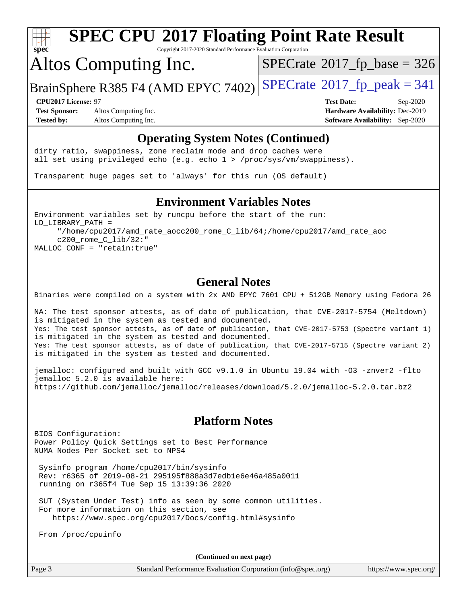

Copyright 2017-2020 Standard Performance Evaluation Corporation

## Altos Computing Inc.

 $SPECTate$ <sup>®</sup>[2017\\_fp\\_base =](http://www.spec.org/auto/cpu2017/Docs/result-fields.html#SPECrate2017fpbase) 326

BrainSphere R385 F4 (AMD EPYC 7402) [SPECrate](http://www.spec.org/auto/cpu2017/Docs/result-fields.html#SPECrate2017fppeak)®[2017\\_fp\\_peak = 3](http://www.spec.org/auto/cpu2017/Docs/result-fields.html#SPECrate2017fppeak)41

**[Test Sponsor:](http://www.spec.org/auto/cpu2017/Docs/result-fields.html#TestSponsor)** Altos Computing Inc. **[Hardware Availability:](http://www.spec.org/auto/cpu2017/Docs/result-fields.html#HardwareAvailability)** Dec-2019 **[Tested by:](http://www.spec.org/auto/cpu2017/Docs/result-fields.html#Testedby)** Altos Computing Inc. **[Software Availability:](http://www.spec.org/auto/cpu2017/Docs/result-fields.html#SoftwareAvailability)** Sep-2020

**[CPU2017 License:](http://www.spec.org/auto/cpu2017/Docs/result-fields.html#CPU2017License)** 97 **[Test Date:](http://www.spec.org/auto/cpu2017/Docs/result-fields.html#TestDate)** Sep-2020

#### **[Operating System Notes \(Continued\)](http://www.spec.org/auto/cpu2017/Docs/result-fields.html#OperatingSystemNotes)**

dirty\_ratio, swappiness, zone\_reclaim\_mode and drop caches were all set using privileged echo (e.g. echo 1 > /proc/sys/vm/swappiness).

Transparent huge pages set to 'always' for this run (OS default)

#### **[Environment Variables Notes](http://www.spec.org/auto/cpu2017/Docs/result-fields.html#EnvironmentVariablesNotes)**

Environment variables set by runcpu before the start of the run: LD\_LIBRARY\_PATH = "/home/cpu2017/amd\_rate\_aocc200\_rome\_C\_lib/64;/home/cpu2017/amd\_rate\_aoc c200\_rome\_C\_lib/32:" MALLOC\_CONF = "retain:true"

#### **[General Notes](http://www.spec.org/auto/cpu2017/Docs/result-fields.html#GeneralNotes)**

Binaries were compiled on a system with 2x AMD EPYC 7601 CPU + 512GB Memory using Fedora 26

NA: The test sponsor attests, as of date of publication, that CVE-2017-5754 (Meltdown) is mitigated in the system as tested and documented. Yes: The test sponsor attests, as of date of publication, that CVE-2017-5753 (Spectre variant 1) is mitigated in the system as tested and documented. Yes: The test sponsor attests, as of date of publication, that CVE-2017-5715 (Spectre variant 2) is mitigated in the system as tested and documented.

jemalloc: configured and built with GCC v9.1.0 in Ubuntu 19.04 with -O3 -znver2 -flto jemalloc 5.2.0 is available here: <https://github.com/jemalloc/jemalloc/releases/download/5.2.0/jemalloc-5.2.0.tar.bz2>

#### **[Platform Notes](http://www.spec.org/auto/cpu2017/Docs/result-fields.html#PlatformNotes)**

BIOS Configuration: Power Policy Quick Settings set to Best Performance NUMA Nodes Per Socket set to NPS4

 Sysinfo program /home/cpu2017/bin/sysinfo Rev: r6365 of 2019-08-21 295195f888a3d7edb1e6e46a485a0011 running on r365f4 Tue Sep 15 13:39:36 2020

 SUT (System Under Test) info as seen by some common utilities. For more information on this section, see <https://www.spec.org/cpu2017/Docs/config.html#sysinfo>

From /proc/cpuinfo

**(Continued on next page)**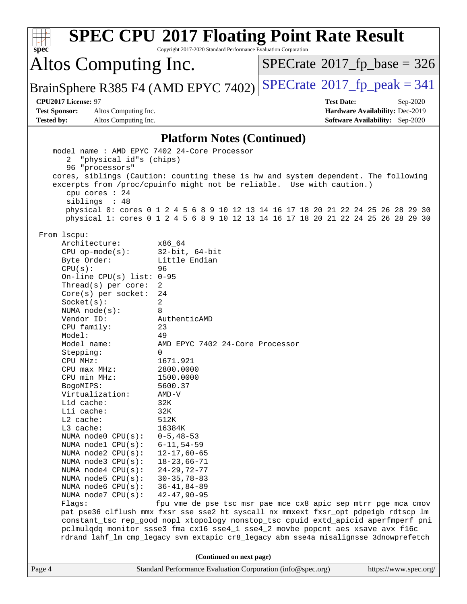|                                                                                                                                                                     | <b>SPEC CPU®2017 Floating Point Rate Result</b>                                                                                                             |                                      |                                        |  |
|---------------------------------------------------------------------------------------------------------------------------------------------------------------------|-------------------------------------------------------------------------------------------------------------------------------------------------------------|--------------------------------------|----------------------------------------|--|
| spec<br>Copyright 2017-2020 Standard Performance Evaluation Corporation                                                                                             |                                                                                                                                                             |                                      |                                        |  |
| Altos Computing Inc.                                                                                                                                                |                                                                                                                                                             | $SPECrate^{\circ}2017$ [p base = 326 |                                        |  |
| BrainSphere R385 F4 (AMD EPYC 7402)                                                                                                                                 |                                                                                                                                                             | $SPECTate@2017_fp\_peak = 341$       |                                        |  |
| CPU2017 License: 97                                                                                                                                                 |                                                                                                                                                             | <b>Test Date:</b>                    | Sep-2020                               |  |
| <b>Test Sponsor:</b><br>Altos Computing Inc.                                                                                                                        |                                                                                                                                                             |                                      | Hardware Availability: Dec-2019        |  |
| <b>Tested by:</b><br>Altos Computing Inc.                                                                                                                           |                                                                                                                                                             |                                      | <b>Software Availability:</b> Sep-2020 |  |
|                                                                                                                                                                     | <b>Platform Notes (Continued)</b>                                                                                                                           |                                      |                                        |  |
| model name: AMD EPYC 7402 24-Core Processor                                                                                                                         |                                                                                                                                                             |                                      |                                        |  |
| "physical id"s (chips)<br>2                                                                                                                                         |                                                                                                                                                             |                                      |                                        |  |
| 96 "processors"                                                                                                                                                     |                                                                                                                                                             |                                      |                                        |  |
|                                                                                                                                                                     | cores, siblings (Caution: counting these is hw and system dependent. The following<br>excerpts from /proc/cpuinfo might not be reliable. Use with caution.) |                                      |                                        |  |
| cpu cores : 24                                                                                                                                                      |                                                                                                                                                             |                                      |                                        |  |
| siblings : 48                                                                                                                                                       |                                                                                                                                                             |                                      |                                        |  |
|                                                                                                                                                                     | physical 0: cores 0 1 2 4 5 6 8 9 10 12 13 14 16 17 18 20 21 22 24 25 26 28 29 30                                                                           |                                      |                                        |  |
|                                                                                                                                                                     | physical 1: cores 0 1 2 4 5 6 8 9 10 12 13 14 16 17 18 20 21 22 24 25 26 28 29 30                                                                           |                                      |                                        |  |
| From 1scpu:                                                                                                                                                         |                                                                                                                                                             |                                      |                                        |  |
| Architecture:                                                                                                                                                       | x86 64                                                                                                                                                      |                                      |                                        |  |
| $CPU$ op-mode( $s$ ):                                                                                                                                               | $32$ -bit, $64$ -bit                                                                                                                                        |                                      |                                        |  |
| Byte Order:                                                                                                                                                         | Little Endian                                                                                                                                               |                                      |                                        |  |
| CPU(s):                                                                                                                                                             | 96                                                                                                                                                          |                                      |                                        |  |
| On-line CPU(s) list: $0-95$                                                                                                                                         |                                                                                                                                                             |                                      |                                        |  |
| Thread(s) per core:                                                                                                                                                 | 2                                                                                                                                                           |                                      |                                        |  |
| Core(s) per socket:                                                                                                                                                 | 24<br>2                                                                                                                                                     |                                      |                                        |  |
| Socket(s):<br>NUMA $node(s):$                                                                                                                                       | 8                                                                                                                                                           |                                      |                                        |  |
| Vendor ID:                                                                                                                                                          | AuthenticAMD                                                                                                                                                |                                      |                                        |  |
| CPU family:                                                                                                                                                         | 23                                                                                                                                                          |                                      |                                        |  |
| Model:                                                                                                                                                              | 49                                                                                                                                                          |                                      |                                        |  |
| Model name:                                                                                                                                                         | AMD EPYC 7402 24-Core Processor                                                                                                                             |                                      |                                        |  |
| Stepping:                                                                                                                                                           | 0                                                                                                                                                           |                                      |                                        |  |
| CPU MHz:                                                                                                                                                            | 1671.921                                                                                                                                                    |                                      |                                        |  |
| CPU max MHz:                                                                                                                                                        | 2800.0000                                                                                                                                                   |                                      |                                        |  |
| CPU min MHz:                                                                                                                                                        | 1500.0000                                                                                                                                                   |                                      |                                        |  |
| BogoMIPS:                                                                                                                                                           | 5600.37                                                                                                                                                     |                                      |                                        |  |
| Virtualization:                                                                                                                                                     | $AMD-V$                                                                                                                                                     |                                      |                                        |  |
| Lld cache:<br>Lli cache:                                                                                                                                            | 32K                                                                                                                                                         |                                      |                                        |  |
| L2 cache:                                                                                                                                                           | 32K<br>512K                                                                                                                                                 |                                      |                                        |  |
| L3 cache:                                                                                                                                                           | 16384K                                                                                                                                                      |                                      |                                        |  |
| NUMA node0 CPU(s):                                                                                                                                                  | $0 - 5, 48 - 53$                                                                                                                                            |                                      |                                        |  |
| NUMA nodel CPU(s):                                                                                                                                                  | $6 - 11, 54 - 59$                                                                                                                                           |                                      |                                        |  |
| NUMA $node2$ $CPU(s)$ :                                                                                                                                             | $12 - 17,60 - 65$                                                                                                                                           |                                      |                                        |  |
| NUMA node3 CPU(s):                                                                                                                                                  | $18 - 23,66 - 71$                                                                                                                                           |                                      |                                        |  |
| NUMA $node4$ $CPU(s):$                                                                                                                                              | $24 - 29, 72 - 77$                                                                                                                                          |                                      |                                        |  |
| NUMA $node5$ $CPU(s):$                                                                                                                                              | $30 - 35, 78 - 83$                                                                                                                                          |                                      |                                        |  |
| NUMA node6 CPU(s):                                                                                                                                                  | $36 - 41, 84 - 89$                                                                                                                                          |                                      |                                        |  |
| NUMA node7 CPU(s):                                                                                                                                                  | $42 - 47, 90 - 95$                                                                                                                                          |                                      |                                        |  |
| Flags:                                                                                                                                                              | fpu vme de pse tsc msr pae mce cx8 apic sep mtrr pge mca cmov<br>pat pse36 clflush mmx fxsr sse sse2 ht syscall nx mmxext fxsr_opt pdpe1gb rdtscp lm        |                                      |                                        |  |
|                                                                                                                                                                     |                                                                                                                                                             |                                      |                                        |  |
| constant_tsc rep_good nopl xtopology nonstop_tsc cpuid extd_apicid aperfmperf pni<br>pclmulqdq monitor ssse3 fma cx16 sse4_1 sse4_2 movbe popcnt aes xsave avx f16c |                                                                                                                                                             |                                      |                                        |  |
|                                                                                                                                                                     | rdrand lahf_lm cmp_legacy svm extapic cr8_legacy abm sse4a misalignsse 3dnowprefetch                                                                        |                                      |                                        |  |
|                                                                                                                                                                     |                                                                                                                                                             |                                      |                                        |  |
| Page 4                                                                                                                                                              | (Continued on next page)<br>Standard Performance Evaluation Corporation (info@spec.org)                                                                     |                                      | https://www.spec.org/                  |  |
|                                                                                                                                                                     |                                                                                                                                                             |                                      |                                        |  |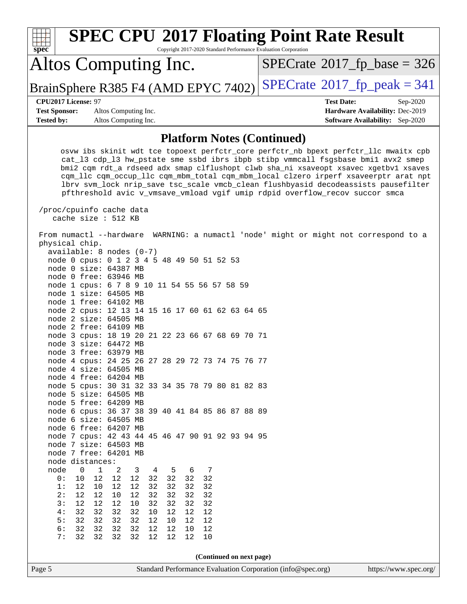| <b>SPEC CPU®2017 Floating Point Rate Result</b><br>Copyright 2017-2020 Standard Performance Evaluation Corporation<br>spec <sup>®</sup>                                                                                                                                                                                                                                                                                                                                                                                                                                                                                                                      |                                        |  |  |  |
|--------------------------------------------------------------------------------------------------------------------------------------------------------------------------------------------------------------------------------------------------------------------------------------------------------------------------------------------------------------------------------------------------------------------------------------------------------------------------------------------------------------------------------------------------------------------------------------------------------------------------------------------------------------|----------------------------------------|--|--|--|
| Altos Computing Inc.                                                                                                                                                                                                                                                                                                                                                                                                                                                                                                                                                                                                                                         | $SPECTate@2017_fp\_base = 326$         |  |  |  |
| BrainSphere R385 F4 (AMD EPYC 7402)                                                                                                                                                                                                                                                                                                                                                                                                                                                                                                                                                                                                                          | $SPECTate@2017fr peak = 341$           |  |  |  |
| CPU2017 License: 97                                                                                                                                                                                                                                                                                                                                                                                                                                                                                                                                                                                                                                          | <b>Test Date:</b><br>Sep-2020          |  |  |  |
| <b>Test Sponsor:</b><br>Altos Computing Inc.                                                                                                                                                                                                                                                                                                                                                                                                                                                                                                                                                                                                                 | Hardware Availability: Dec-2019        |  |  |  |
| <b>Tested by:</b><br>Altos Computing Inc.                                                                                                                                                                                                                                                                                                                                                                                                                                                                                                                                                                                                                    | <b>Software Availability:</b> Sep-2020 |  |  |  |
| <b>Platform Notes (Continued)</b>                                                                                                                                                                                                                                                                                                                                                                                                                                                                                                                                                                                                                            |                                        |  |  |  |
| osvw ibs skinit wdt tce topoext perfctr_core perfctr_nb bpext perfctr_llc mwaitx cpb<br>cat_13 cdp_13 hw_pstate sme ssbd ibrs ibpb stibp vmmcall fsgsbase bmil avx2 smep<br>bmi2 cqm rdt_a rdseed adx smap clflushopt clwb sha_ni xsaveopt xsavec xgetbvl xsaves<br>cqm_llc cqm_occup_llc cqm_mbm_total cqm_mbm_local clzero irperf xsaveerptr arat npt<br>lbrv svm_lock nrip_save tsc_scale vmcb_clean flushbyasid decodeassists pausefilter<br>pfthreshold avic v_vmsave_vmload vgif umip rdpid overflow_recov succor smca<br>/proc/cpuinfo cache data                                                                                                     |                                        |  |  |  |
| cache size : 512 KB                                                                                                                                                                                                                                                                                                                                                                                                                                                                                                                                                                                                                                          |                                        |  |  |  |
| From numactl --hardware WARNING: a numactl 'node' might or might not correspond to a<br>physical chip.<br>$available: 8 nodes (0-7)$<br>node 0 cpus: 0 1 2 3 4 5 48 49 50 51 52 53<br>node 0 size: 64387 MB<br>node 0 free: 63946 MB<br>node 1 cpus: 6 7 8 9 10 11 54 55 56 57 58 59<br>node 1 size: 64505 MB<br>node 1 free: 64102 MB<br>node 2 cpus: 12 13 14 15 16 17 60 61 62 63 64 65<br>node 2 size: 64505 MB<br>node 2 free: 64109 MB<br>node 3 cpus: 18 19 20 21 22 23 66 67 68 69 70 71<br>node 3 size: 64472 MB<br>node 3 free: 63979 MB<br>node 4 cpus: 24 25 26 27 28 29 72 73 74 75 76 77<br>$node$ 4 $size:$ 64505 MB<br>node 4 free: 64204 MB |                                        |  |  |  |
| node 5 cpus: 30 31 32 33 34 35 78 79 80 81 82 83<br>node 5 size: 64505 MB                                                                                                                                                                                                                                                                                                                                                                                                                                                                                                                                                                                    |                                        |  |  |  |
| node 5 free: 64209 MB                                                                                                                                                                                                                                                                                                                                                                                                                                                                                                                                                                                                                                        |                                        |  |  |  |
| node 6 cpus: 36 37 38 39 40 41 84 85 86 87 88 89                                                                                                                                                                                                                                                                                                                                                                                                                                                                                                                                                                                                             |                                        |  |  |  |
| node 6 size: 64505 MB<br>node 6 free: 64207 MB                                                                                                                                                                                                                                                                                                                                                                                                                                                                                                                                                                                                               |                                        |  |  |  |
| node 7 cpus: 42 43 44 45 46 47 90 91 92 93 94 95<br>node 7 size: 64503 MB<br>node 7 free: 64201 MB<br>node distances:                                                                                                                                                                                                                                                                                                                                                                                                                                                                                                                                        |                                        |  |  |  |
| node<br>1<br>5<br>7<br>0<br>2<br>3<br>4<br>6                                                                                                                                                                                                                                                                                                                                                                                                                                                                                                                                                                                                                 |                                        |  |  |  |
| 12<br>32<br>32<br>32<br>0:<br>12<br>12<br>32<br>10                                                                                                                                                                                                                                                                                                                                                                                                                                                                                                                                                                                                           |                                        |  |  |  |
| 1:<br>12<br>32<br>32<br>32<br>32<br>12<br>10<br>12<br>2:<br>12<br>12<br>12<br>32<br>32<br>32<br>10<br>32                                                                                                                                                                                                                                                                                                                                                                                                                                                                                                                                                     |                                        |  |  |  |
| 3:<br>12<br>12<br>12<br>32<br>32<br>32<br>10<br>32                                                                                                                                                                                                                                                                                                                                                                                                                                                                                                                                                                                                           |                                        |  |  |  |
| 4:<br>32<br>32<br>32<br>12<br>32<br>10<br>12<br>12                                                                                                                                                                                                                                                                                                                                                                                                                                                                                                                                                                                                           |                                        |  |  |  |
| 5:<br>32<br>32<br>32<br>32<br>12<br>10<br>12<br>12                                                                                                                                                                                                                                                                                                                                                                                                                                                                                                                                                                                                           |                                        |  |  |  |
| 6:<br>32<br>32<br>32<br>32<br>12<br>12<br>12<br>10<br>7:<br>32<br>32<br>32<br>32<br>12<br>12<br>12<br>10                                                                                                                                                                                                                                                                                                                                                                                                                                                                                                                                                     |                                        |  |  |  |
|                                                                                                                                                                                                                                                                                                                                                                                                                                                                                                                                                                                                                                                              |                                        |  |  |  |
| (Continued on next page)                                                                                                                                                                                                                                                                                                                                                                                                                                                                                                                                                                                                                                     |                                        |  |  |  |
| Standard Performance Evaluation Corporation (info@spec.org)<br>Page 5                                                                                                                                                                                                                                                                                                                                                                                                                                                                                                                                                                                        | https://www.spec.org/                  |  |  |  |
|                                                                                                                                                                                                                                                                                                                                                                                                                                                                                                                                                                                                                                                              |                                        |  |  |  |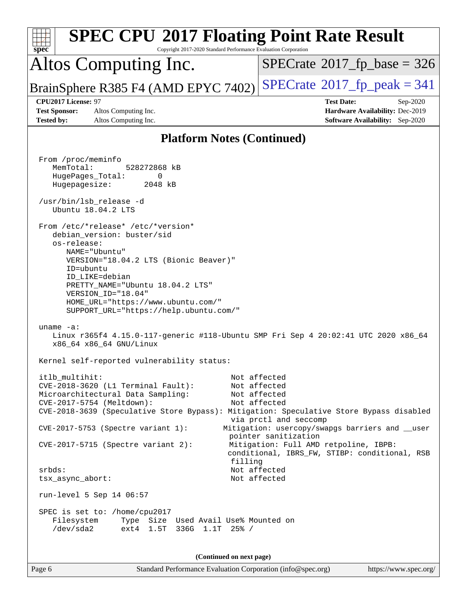| <b>SPEC CPU®2017 Floating Point Rate Result</b><br>Copyright 2017-2020 Standard Performance Evaluation Corporation<br>spec <sup>®</sup>                                                                                                                                                                                                                                                                                                                                                             |                                                                                                                                                                                                                                                                                            |
|-----------------------------------------------------------------------------------------------------------------------------------------------------------------------------------------------------------------------------------------------------------------------------------------------------------------------------------------------------------------------------------------------------------------------------------------------------------------------------------------------------|--------------------------------------------------------------------------------------------------------------------------------------------------------------------------------------------------------------------------------------------------------------------------------------------|
| Altos Computing Inc.                                                                                                                                                                                                                                                                                                                                                                                                                                                                                | $SPECrate^{\circ}2017$ fp base = 326                                                                                                                                                                                                                                                       |
| BrainSphere R385 F4 (AMD EPYC 7402)                                                                                                                                                                                                                                                                                                                                                                                                                                                                 | $SPECrate^{\circ}2017$ fp peak = 341                                                                                                                                                                                                                                                       |
| CPU2017 License: 97<br><b>Test Sponsor:</b><br>Altos Computing Inc.<br><b>Tested by:</b><br>Altos Computing Inc.                                                                                                                                                                                                                                                                                                                                                                                    | <b>Test Date:</b><br>Sep-2020<br>Hardware Availability: Dec-2019<br><b>Software Availability:</b> Sep-2020                                                                                                                                                                                 |
| <b>Platform Notes (Continued)</b>                                                                                                                                                                                                                                                                                                                                                                                                                                                                   |                                                                                                                                                                                                                                                                                            |
| From /proc/meminfo<br>MemTotal:<br>528272868 kB<br>HugePages_Total:<br>0<br>Hugepagesize:<br>2048 kB<br>/usr/bin/lsb_release -d<br>Ubuntu 18.04.2 LTS<br>From /etc/*release* /etc/*version*<br>debian_version: buster/sid<br>os-release:<br>NAME="Ubuntu"<br>VERSION="18.04.2 LTS (Bionic Beaver)"<br>ID=ubuntu                                                                                                                                                                                     |                                                                                                                                                                                                                                                                                            |
| ID LIKE=debian<br>PRETTY_NAME="Ubuntu 18.04.2 LTS"<br>VERSION_ID="18.04"<br>HOME_URL="https://www.ubuntu.com/"<br>SUPPORT_URL="https://help.ubuntu.com/"<br>uname $-a$ :<br>Linux r365f4 4.15.0-117-generic #118-Ubuntu SMP Fri Sep 4 20:02:41 UTC 2020 x86_64<br>x86_64 x86_64 GNU/Linux<br>Kernel self-reported vulnerability status:                                                                                                                                                             |                                                                                                                                                                                                                                                                                            |
| itlb multihit:<br>CVE-2018-3620 (L1 Terminal Fault):<br>Microarchitectural Data Sampling:<br>CVE-2017-5754 (Meltdown):<br>CVE-2018-3639 (Speculative Store Bypass): Mitigation: Speculative Store Bypass disabled<br>CVE-2017-5753 (Spectre variant 1):<br>CVE-2017-5715 (Spectre variant 2):<br>filling<br>srbds:<br>tsx_async_abort:<br>run-level 5 Sep 14 06:57<br>SPEC is set to: /home/cpu2017<br>Filesystem<br>Type Size Used Avail Use% Mounted on<br>/dev/sda2<br>ext4 1.5T 336G 1.1T 25% / | Not affected<br>Not affected<br>Not affected<br>Not affected<br>via prctl and seccomp<br>Mitigation: usercopy/swapgs barriers and __user<br>pointer sanitization<br>Mitigation: Full AMD retpoline, IBPB:<br>conditional, IBRS_FW, STIBP: conditional, RSB<br>Not affected<br>Not affected |
| (Continued on next page)                                                                                                                                                                                                                                                                                                                                                                                                                                                                            |                                                                                                                                                                                                                                                                                            |
| Page 6<br>Standard Performance Evaluation Corporation (info@spec.org)                                                                                                                                                                                                                                                                                                                                                                                                                               | https://www.spec.org/                                                                                                                                                                                                                                                                      |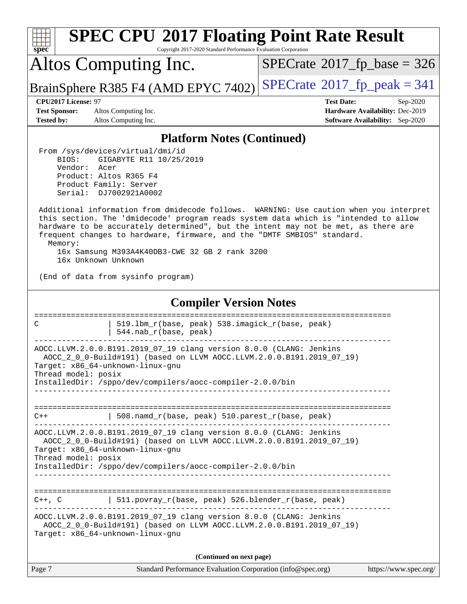| <b>SPEC CPU®2017 Floating Point Rate Result</b><br>Copyright 2017-2020 Standard Performance Evaluation Corporation<br>spec <sup>®</sup>                                                                                                                                                                                                                                                                                            |                                                                                                            |  |  |  |
|------------------------------------------------------------------------------------------------------------------------------------------------------------------------------------------------------------------------------------------------------------------------------------------------------------------------------------------------------------------------------------------------------------------------------------|------------------------------------------------------------------------------------------------------------|--|--|--|
| Altos Computing Inc.                                                                                                                                                                                                                                                                                                                                                                                                               | $SPECTate$ <sup>®</sup> 2017_fp_base = 326                                                                 |  |  |  |
| BrainSphere R385 F4 (AMD EPYC 7402)                                                                                                                                                                                                                                                                                                                                                                                                | $SPECTate@2017fr peak = 341$                                                                               |  |  |  |
| CPU2017 License: 97<br><b>Test Sponsor:</b><br>Altos Computing Inc.<br><b>Tested by:</b><br>Altos Computing Inc.                                                                                                                                                                                                                                                                                                                   | <b>Test Date:</b><br>Sep-2020<br>Hardware Availability: Dec-2019<br><b>Software Availability:</b> Sep-2020 |  |  |  |
| <b>Platform Notes (Continued)</b>                                                                                                                                                                                                                                                                                                                                                                                                  |                                                                                                            |  |  |  |
| From /sys/devices/virtual/dmi/id<br>BIOS:<br>GIGABYTE R11 10/25/2019<br>Vendor:<br>Acer<br>Product: Altos R365 F4<br>Product Family: Server<br>Serial: DJ7002921A0002                                                                                                                                                                                                                                                              |                                                                                                            |  |  |  |
| Additional information from dmidecode follows. WARNING: Use caution when you interpret<br>this section. The 'dmidecode' program reads system data which is "intended to allow<br>hardware to be accurately determined", but the intent may not be met, as there are<br>frequent changes to hardware, firmware, and the "DMTF SMBIOS" standard.<br>Memory:<br>16x Samsung M393A4K40DB3-CWE 32 GB 2 rank 3200<br>16x Unknown Unknown |                                                                                                            |  |  |  |
| (End of data from sysinfo program)                                                                                                                                                                                                                                                                                                                                                                                                 |                                                                                                            |  |  |  |
| <b>Compiler Version Notes</b>                                                                                                                                                                                                                                                                                                                                                                                                      |                                                                                                            |  |  |  |
| ==============================<br>================<br>519.1bm_r(base, peak) 538.imagick_r(base, peak)<br>C<br>544.nab_r(base, peak)                                                                                                                                                                                                                                                                                                |                                                                                                            |  |  |  |
| AOCC.LLVM.2.0.0.B191.2019_07_19 clang version 8.0.0 (CLANG: Jenkins<br>AOCC_2_0_0-Build#191) (based on LLVM AOCC.LLVM.2.0.0.B191.2019_07_19)<br>Target: x86 64-unknown-linux-gnu<br>Thread model: posix<br>InstalledDir: /sppo/dev/compilers/aocc-compiler-2.0.0/bin                                                                                                                                                               |                                                                                                            |  |  |  |
| 508.namd_r(base, peak) 510.parest_r(base, peak)<br>$C++$                                                                                                                                                                                                                                                                                                                                                                           |                                                                                                            |  |  |  |
| AOCC.LLVM.2.0.0.B191.2019_07_19 clang version 8.0.0 (CLANG: Jenkins<br>AOCC_2_0_0-Build#191) (based on LLVM AOCC.LLVM.2.0.0.B191.2019_07_19)<br>Target: x86_64-unknown-linux-gnu<br>Thread model: posix<br>InstalledDir: /sppo/dev/compilers/aocc-compiler-2.0.0/bin                                                                                                                                                               |                                                                                                            |  |  |  |
| 511.povray_r(base, peak) 526.blender_r(base, peak)<br>C++, C<br>AOCC.LLVM.2.0.0.B191.2019_07_19 clang version 8.0.0 (CLANG: Jenkins<br>AOCC_2_0_0-Build#191) (based on LLVM AOCC.LLVM.2.0.0.B191.2019_07_19)<br>Target: x86_64-unknown-linux-gnu                                                                                                                                                                                   |                                                                                                            |  |  |  |
| (Continued on next page)                                                                                                                                                                                                                                                                                                                                                                                                           |                                                                                                            |  |  |  |
| Page 7<br>Standard Performance Evaluation Corporation (info@spec.org)                                                                                                                                                                                                                                                                                                                                                              | https://www.spec.org/                                                                                      |  |  |  |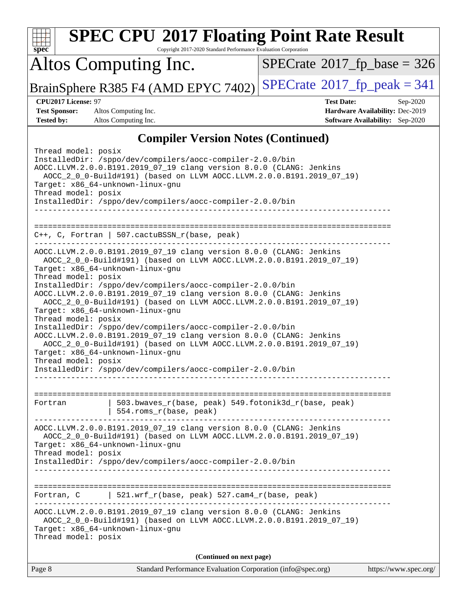| spec                                                                                                                                                                                                                                                                                                                                                                                                                                                                                                                                                                                                                                                                                                                                                                                                                 | <b>SPEC CPU®2017 Floating Point Rate Result</b><br>Copyright 2017-2020 Standard Performance Evaluation Corporation |  |  |  |
|----------------------------------------------------------------------------------------------------------------------------------------------------------------------------------------------------------------------------------------------------------------------------------------------------------------------------------------------------------------------------------------------------------------------------------------------------------------------------------------------------------------------------------------------------------------------------------------------------------------------------------------------------------------------------------------------------------------------------------------------------------------------------------------------------------------------|--------------------------------------------------------------------------------------------------------------------|--|--|--|
| Altos Computing Inc.                                                                                                                                                                                                                                                                                                                                                                                                                                                                                                                                                                                                                                                                                                                                                                                                 | $SPECrate$ <sup>®</sup> 2017_fp_base = 326                                                                         |  |  |  |
| BrainSphere R385 F4 (AMD EPYC 7402)                                                                                                                                                                                                                                                                                                                                                                                                                                                                                                                                                                                                                                                                                                                                                                                  | $SPECrate^{\circledcirc}2017$ [p_peak = 341                                                                        |  |  |  |
| CPU2017 License: 97                                                                                                                                                                                                                                                                                                                                                                                                                                                                                                                                                                                                                                                                                                                                                                                                  | <b>Test Date:</b><br>Sep-2020                                                                                      |  |  |  |
| <b>Test Sponsor:</b><br>Altos Computing Inc.                                                                                                                                                                                                                                                                                                                                                                                                                                                                                                                                                                                                                                                                                                                                                                         | Hardware Availability: Dec-2019                                                                                    |  |  |  |
| <b>Tested by:</b><br>Altos Computing Inc.                                                                                                                                                                                                                                                                                                                                                                                                                                                                                                                                                                                                                                                                                                                                                                            | <b>Software Availability:</b> Sep-2020                                                                             |  |  |  |
|                                                                                                                                                                                                                                                                                                                                                                                                                                                                                                                                                                                                                                                                                                                                                                                                                      | <b>Compiler Version Notes (Continued)</b>                                                                          |  |  |  |
| Thread model: posix<br>InstalledDir: /sppo/dev/compilers/aocc-compiler-2.0.0/bin<br>AOCC.LLVM.2.0.0.B191.2019_07_19 clang version 8.0.0 (CLANG: Jenkins<br>AOCC_2_0_0-Build#191) (based on LLVM AOCC.LLVM.2.0.0.B191.2019_07_19)<br>Target: x86_64-unknown-linux-gnu<br>Thread model: posix<br>InstalledDir: /sppo/dev/compilers/aocc-compiler-2.0.0/bin                                                                                                                                                                                                                                                                                                                                                                                                                                                             |                                                                                                                    |  |  |  |
| =============================<br>===========<br>$C++$ , C, Fortran   507. cactuBSSN_r(base, peak)                                                                                                                                                                                                                                                                                                                                                                                                                                                                                                                                                                                                                                                                                                                    |                                                                                                                    |  |  |  |
| AOCC.LLVM.2.0.0.B191.2019_07_19 clang version 8.0.0 (CLANG: Jenkins<br>AOCC_2_0_0-Build#191) (based on LLVM AOCC.LLVM.2.0.0.B191.2019_07_19)<br>Target: x86_64-unknown-linux-gnu<br>Thread model: posix<br>InstalledDir: /sppo/dev/compilers/aocc-compiler-2.0.0/bin<br>AOCC.LLVM.2.0.0.B191.2019_07_19 clang version 8.0.0 (CLANG: Jenkins<br>AOCC_2_0_0-Build#191) (based on LLVM AOCC.LLVM.2.0.0.B191.2019_07_19)<br>Target: x86_64-unknown-linux-gnu<br>Thread model: posix<br>InstalledDir: /sppo/dev/compilers/aocc-compiler-2.0.0/bin<br>AOCC.LLVM.2.0.0.B191.2019_07_19 clang version 8.0.0 (CLANG: Jenkins<br>AOCC_2_0_0-Build#191) (based on LLVM AOCC.LLVM.2.0.0.B191.2019_07_19)<br>Target: x86_64-unknown-linux-gnu<br>Thread model: posix<br>InstalledDir: /sppo/dev/compilers/aocc-compiler-2.0.0/bin |                                                                                                                    |  |  |  |
| 503.bwaves_r(base, peak) 549.fotonik3d_r(base, peak)<br>Fortran<br>554.roms_r(base, peak)                                                                                                                                                                                                                                                                                                                                                                                                                                                                                                                                                                                                                                                                                                                            |                                                                                                                    |  |  |  |
| AOCC.LLVM.2.0.0.B191.2019_07_19 clang version 8.0.0 (CLANG: Jenkins<br>AOCC_2_0_0-Build#191) (based on LLVM AOCC.LLVM.2.0.0.B191.2019_07_19)<br>Target: x86_64-unknown-linux-gnu<br>Thread model: posix<br>InstalledDir: /sppo/dev/compilers/aocc-compiler-2.0.0/bin                                                                                                                                                                                                                                                                                                                                                                                                                                                                                                                                                 |                                                                                                                    |  |  |  |
|                                                                                                                                                                                                                                                                                                                                                                                                                                                                                                                                                                                                                                                                                                                                                                                                                      |                                                                                                                    |  |  |  |
| 521.wrf_r(base, peak) 527.cam4_r(base, peak)<br>Fortran, C                                                                                                                                                                                                                                                                                                                                                                                                                                                                                                                                                                                                                                                                                                                                                           |                                                                                                                    |  |  |  |
| AOCC.LLVM.2.0.0.B191.2019_07_19 clang version 8.0.0 (CLANG: Jenkins<br>AOCC_2_0_0-Build#191) (based on LLVM AOCC.LLVM.2.0.0.B191.2019_07_19)<br>Target: x86_64-unknown-linux-gnu<br>Thread model: posix                                                                                                                                                                                                                                                                                                                                                                                                                                                                                                                                                                                                              |                                                                                                                    |  |  |  |
|                                                                                                                                                                                                                                                                                                                                                                                                                                                                                                                                                                                                                                                                                                                                                                                                                      | (Continued on next page)                                                                                           |  |  |  |
| Page 8                                                                                                                                                                                                                                                                                                                                                                                                                                                                                                                                                                                                                                                                                                                                                                                                               | Standard Performance Evaluation Corporation (info@spec.org)<br>https://www.spec.org/                               |  |  |  |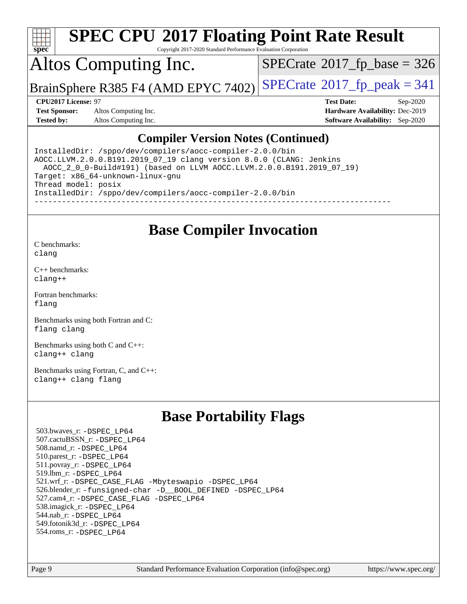

Copyright 2017-2020 Standard Performance Evaluation Corporation

## Altos Computing Inc.

 $SPECTate$ <sup>®</sup>[2017\\_fp\\_base =](http://www.spec.org/auto/cpu2017/Docs/result-fields.html#SPECrate2017fpbase) 326

BrainSphere R385 F4 (AMD EPYC 7402) [SPECrate](http://www.spec.org/auto/cpu2017/Docs/result-fields.html#SPECrate2017fppeak)®[2017\\_fp\\_peak = 3](http://www.spec.org/auto/cpu2017/Docs/result-fields.html#SPECrate2017fppeak)41

**[Test Sponsor:](http://www.spec.org/auto/cpu2017/Docs/result-fields.html#TestSponsor)** Altos Computing Inc. **[Hardware Availability:](http://www.spec.org/auto/cpu2017/Docs/result-fields.html#HardwareAvailability)** Dec-2019 **[Tested by:](http://www.spec.org/auto/cpu2017/Docs/result-fields.html#Testedby)** Altos Computing Inc. **[Software Availability:](http://www.spec.org/auto/cpu2017/Docs/result-fields.html#SoftwareAvailability)** Sep-2020

**[CPU2017 License:](http://www.spec.org/auto/cpu2017/Docs/result-fields.html#CPU2017License)** 97 **[Test Date:](http://www.spec.org/auto/cpu2017/Docs/result-fields.html#TestDate)** Sep-2020

#### **[Compiler Version Notes \(Continued\)](http://www.spec.org/auto/cpu2017/Docs/result-fields.html#CompilerVersionNotes)**

InstalledDir: /sppo/dev/compilers/aocc-compiler-2.0.0/bin AOCC.LLVM.2.0.0.B191.2019\_07\_19 clang version 8.0.0 (CLANG: Jenkins AOCC\_2\_0\_0-Build#191) (based on LLVM AOCC.LLVM.2.0.0.B191.2019\_07\_19) Target: x86\_64-unknown-linux-gnu Thread model: posix InstalledDir: /sppo/dev/compilers/aocc-compiler-2.0.0/bin ------------------------------------------------------------------------------

#### **[Base Compiler Invocation](http://www.spec.org/auto/cpu2017/Docs/result-fields.html#BaseCompilerInvocation)**

[C benchmarks](http://www.spec.org/auto/cpu2017/Docs/result-fields.html#Cbenchmarks): [clang](http://www.spec.org/cpu2017/results/res2020q4/cpu2017-20200918-24012.flags.html#user_CCbase_clang-c)

[C++ benchmarks:](http://www.spec.org/auto/cpu2017/Docs/result-fields.html#CXXbenchmarks) [clang++](http://www.spec.org/cpu2017/results/res2020q4/cpu2017-20200918-24012.flags.html#user_CXXbase_clang-cpp)

[Fortran benchmarks](http://www.spec.org/auto/cpu2017/Docs/result-fields.html#Fortranbenchmarks): [flang](http://www.spec.org/cpu2017/results/res2020q4/cpu2017-20200918-24012.flags.html#user_FCbase_flang)

[Benchmarks using both Fortran and C](http://www.spec.org/auto/cpu2017/Docs/result-fields.html#BenchmarksusingbothFortranandC): [flang](http://www.spec.org/cpu2017/results/res2020q4/cpu2017-20200918-24012.flags.html#user_CC_FCbase_flang) [clang](http://www.spec.org/cpu2017/results/res2020q4/cpu2017-20200918-24012.flags.html#user_CC_FCbase_clang-c)

[Benchmarks using both C and C++](http://www.spec.org/auto/cpu2017/Docs/result-fields.html#BenchmarksusingbothCandCXX): [clang++](http://www.spec.org/cpu2017/results/res2020q4/cpu2017-20200918-24012.flags.html#user_CC_CXXbase_clang-cpp) [clang](http://www.spec.org/cpu2017/results/res2020q4/cpu2017-20200918-24012.flags.html#user_CC_CXXbase_clang-c)

[Benchmarks using Fortran, C, and C++:](http://www.spec.org/auto/cpu2017/Docs/result-fields.html#BenchmarksusingFortranCandCXX) [clang++](http://www.spec.org/cpu2017/results/res2020q4/cpu2017-20200918-24012.flags.html#user_CC_CXX_FCbase_clang-cpp) [clang](http://www.spec.org/cpu2017/results/res2020q4/cpu2017-20200918-24012.flags.html#user_CC_CXX_FCbase_clang-c) [flang](http://www.spec.org/cpu2017/results/res2020q4/cpu2017-20200918-24012.flags.html#user_CC_CXX_FCbase_flang)

### **[Base Portability Flags](http://www.spec.org/auto/cpu2017/Docs/result-fields.html#BasePortabilityFlags)**

 503.bwaves\_r: [-DSPEC\\_LP64](http://www.spec.org/cpu2017/results/res2020q4/cpu2017-20200918-24012.flags.html#suite_baseEXTRA_PORTABILITY503_bwaves_r_DSPEC_LP64) 507.cactuBSSN\_r: [-DSPEC\\_LP64](http://www.spec.org/cpu2017/results/res2020q4/cpu2017-20200918-24012.flags.html#suite_baseEXTRA_PORTABILITY507_cactuBSSN_r_DSPEC_LP64) 508.namd\_r: [-DSPEC\\_LP64](http://www.spec.org/cpu2017/results/res2020q4/cpu2017-20200918-24012.flags.html#suite_baseEXTRA_PORTABILITY508_namd_r_DSPEC_LP64) 510.parest\_r: [-DSPEC\\_LP64](http://www.spec.org/cpu2017/results/res2020q4/cpu2017-20200918-24012.flags.html#suite_baseEXTRA_PORTABILITY510_parest_r_DSPEC_LP64) 511.povray\_r: [-DSPEC\\_LP64](http://www.spec.org/cpu2017/results/res2020q4/cpu2017-20200918-24012.flags.html#suite_baseEXTRA_PORTABILITY511_povray_r_DSPEC_LP64) 519.lbm\_r: [-DSPEC\\_LP64](http://www.spec.org/cpu2017/results/res2020q4/cpu2017-20200918-24012.flags.html#suite_baseEXTRA_PORTABILITY519_lbm_r_DSPEC_LP64) 521.wrf\_r: [-DSPEC\\_CASE\\_FLAG](http://www.spec.org/cpu2017/results/res2020q4/cpu2017-20200918-24012.flags.html#b521.wrf_r_baseCPORTABILITY_DSPEC_CASE_FLAG) [-Mbyteswapio](http://www.spec.org/cpu2017/results/res2020q4/cpu2017-20200918-24012.flags.html#user_baseFPORTABILITY521_wrf_r_F-mbyteswapio_543c39ce38db59bcbc3b888917ef58c313007ae1c27520b689e012995ae261114051d1d5efcb4182d175ce22a6a15532d3a9999882dd2c360e6d853f41da6883) [-DSPEC\\_LP64](http://www.spec.org/cpu2017/results/res2020q4/cpu2017-20200918-24012.flags.html#suite_baseEXTRA_PORTABILITY521_wrf_r_DSPEC_LP64) 526.blender\_r: [-funsigned-char](http://www.spec.org/cpu2017/results/res2020q4/cpu2017-20200918-24012.flags.html#user_baseCPORTABILITY526_blender_r_aocc-unsigned-char) [-D\\_\\_BOOL\\_DEFINED](http://www.spec.org/cpu2017/results/res2020q4/cpu2017-20200918-24012.flags.html#b526.blender_r_baseCXXPORTABILITY_D__BOOL_DEFINED) [-DSPEC\\_LP64](http://www.spec.org/cpu2017/results/res2020q4/cpu2017-20200918-24012.flags.html#suite_baseEXTRA_PORTABILITY526_blender_r_DSPEC_LP64) 527.cam4\_r: [-DSPEC\\_CASE\\_FLAG](http://www.spec.org/cpu2017/results/res2020q4/cpu2017-20200918-24012.flags.html#b527.cam4_r_basePORTABILITY_DSPEC_CASE_FLAG) [-DSPEC\\_LP64](http://www.spec.org/cpu2017/results/res2020q4/cpu2017-20200918-24012.flags.html#suite_baseEXTRA_PORTABILITY527_cam4_r_DSPEC_LP64) 538.imagick\_r: [-DSPEC\\_LP64](http://www.spec.org/cpu2017/results/res2020q4/cpu2017-20200918-24012.flags.html#suite_baseEXTRA_PORTABILITY538_imagick_r_DSPEC_LP64) 544.nab\_r: [-DSPEC\\_LP64](http://www.spec.org/cpu2017/results/res2020q4/cpu2017-20200918-24012.flags.html#suite_baseEXTRA_PORTABILITY544_nab_r_DSPEC_LP64) 549.fotonik3d\_r: [-DSPEC\\_LP64](http://www.spec.org/cpu2017/results/res2020q4/cpu2017-20200918-24012.flags.html#suite_baseEXTRA_PORTABILITY549_fotonik3d_r_DSPEC_LP64) 554.roms\_r: [-DSPEC\\_LP64](http://www.spec.org/cpu2017/results/res2020q4/cpu2017-20200918-24012.flags.html#suite_baseEXTRA_PORTABILITY554_roms_r_DSPEC_LP64)

Page 9 Standard Performance Evaluation Corporation [\(info@spec.org\)](mailto:info@spec.org) <https://www.spec.org/>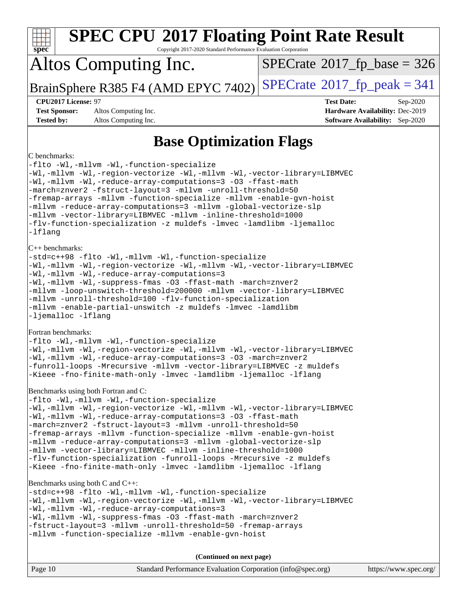| <b>SPEC CPU®2017 Floating Point Rate Result</b><br>Spec<br>Copyright 2017-2020 Standard Performance Evaluation Corporation                                                                                                                                                                                                                                                                                                                                                                                                                                                                                                                      |                                                                                                            |  |  |  |
|-------------------------------------------------------------------------------------------------------------------------------------------------------------------------------------------------------------------------------------------------------------------------------------------------------------------------------------------------------------------------------------------------------------------------------------------------------------------------------------------------------------------------------------------------------------------------------------------------------------------------------------------------|------------------------------------------------------------------------------------------------------------|--|--|--|
| Altos Computing Inc.                                                                                                                                                                                                                                                                                                                                                                                                                                                                                                                                                                                                                            | $SPECrate$ <sup>®</sup> 2017_fp_base = 326                                                                 |  |  |  |
| BrainSphere R385 F4 (AMD EPYC 7402)                                                                                                                                                                                                                                                                                                                                                                                                                                                                                                                                                                                                             | $SPECrate^{\circ}2017$ _fp_peak = 341                                                                      |  |  |  |
| CPU2017 License: 97<br><b>Test Sponsor:</b><br>Altos Computing Inc.<br><b>Tested by:</b><br>Altos Computing Inc.                                                                                                                                                                                                                                                                                                                                                                                                                                                                                                                                | <b>Test Date:</b><br>Sep-2020<br>Hardware Availability: Dec-2019<br><b>Software Availability:</b> Sep-2020 |  |  |  |
| <b>Base Optimization Flags</b>                                                                                                                                                                                                                                                                                                                                                                                                                                                                                                                                                                                                                  |                                                                                                            |  |  |  |
| C benchmarks:<br>-flto -Wl,-mllvm -Wl,-function-specialize<br>-Wl,-mllvm -Wl,-region-vectorize -Wl,-mllvm -Wl,-vector-library=LIBMVEC<br>-Wl,-mllvm -Wl,-reduce-array-computations=3 -03 -ffast-math<br>-march=znver2 -fstruct-layout=3 -mllvm -unroll-threshold=50<br>-fremap-arrays -mllvm -function-specialize -mllvm -enable-gvn-hoist<br>-mllvm -reduce-array-computations=3 -mllvm -global-vectorize-slp<br>-mllvm -vector-library=LIBMVEC -mllvm -inline-threshold=1000<br>-flv-function-specialization -z muldefs -lmvec -lamdlibm -ljemalloc<br>-lflang                                                                                |                                                                                                            |  |  |  |
| $C++$ benchmarks:<br>-std=c++98 -flto -Wl,-mllvm -Wl,-function-specialize<br>-Wl,-mllvm -Wl,-region-vectorize -Wl,-mllvm -Wl,-vector-library=LIBMVEC<br>-Wl,-mllvm -Wl,-reduce-array-computations=3<br>-Wl,-mllvm -Wl,-suppress-fmas -O3 -ffast-math -march=znver2<br>-mllvm -loop-unswitch-threshold=200000 -mllvm -vector-library=LIBMVEC<br>-mllvm -unroll-threshold=100 -flv-function-specialization<br>-mllvm -enable-partial-unswitch -z muldefs -lmvec -lamdlibm<br>-ljemalloc -lflang                                                                                                                                                   |                                                                                                            |  |  |  |
| Fortran benchmarks:<br>-flto -Wl,-mllvm -Wl,-function-specialize<br>-Wl,-mllvm -Wl,-region-vectorize -Wl,-mllvm -Wl,-vector-library=LIBMVEC<br>-Wl,-mllvm -Wl,-reduce-array-computations=3 -03 -march=znver2<br>-funroll-loops -Mrecursive -mllvm -vector-library=LIBMVEC -z muldefs<br>-Kieee -fno-finite-math-only -lmvec -lamdlibm -ljemalloc -lflang                                                                                                                                                                                                                                                                                        |                                                                                                            |  |  |  |
| Benchmarks using both Fortran and C:<br>-flto -Wl,-mllvm -Wl,-function-specialize<br>-Wl,-mllvm -Wl,-region-vectorize -Wl,-mllvm -Wl,-vector-library=LIBMVEC<br>-Wl,-mllvm -Wl,-reduce-array-computations=3 -03 -ffast-math<br>-march=znver2 -fstruct-layout=3 -mllvm -unroll-threshold=50<br>-fremap-arrays -mllvm -function-specialize -mllvm -enable-gvn-hoist<br>-mllvm -reduce-array-computations=3 -mllvm -global-vectorize-slp<br>-mllvm -vector-library=LIBMVEC -mllvm -inline-threshold=1000<br>-flv-function-specialization -funroll-loops -Mrecursive -z muldefs<br>-Kieee -fno-finite-math-only -lmvec -lamdlibm -ljemalloc -lflang |                                                                                                            |  |  |  |
| Benchmarks using both C and C++:<br>-std=c++98 -flto -Wl,-mllvm -Wl,-function-specialize<br>-Wl,-mllvm -Wl,-region-vectorize -Wl,-mllvm -Wl,-vector-library=LIBMVEC<br>-Wl,-mllvm -Wl,-reduce-array-computations=3<br>-Wl,-mllvm -Wl,-suppress-fmas -O3 -ffast-math -march=znver2<br>-fstruct-layout=3 -mllvm -unroll-threshold=50 -fremap-arrays<br>-mllvm -function-specialize -mllvm -enable-gvn-hoist                                                                                                                                                                                                                                       |                                                                                                            |  |  |  |
| (Continued on next page)                                                                                                                                                                                                                                                                                                                                                                                                                                                                                                                                                                                                                        |                                                                                                            |  |  |  |
| Page 10<br>Standard Performance Evaluation Corporation (info@spec.org)                                                                                                                                                                                                                                                                                                                                                                                                                                                                                                                                                                          | https://www.spec.org/                                                                                      |  |  |  |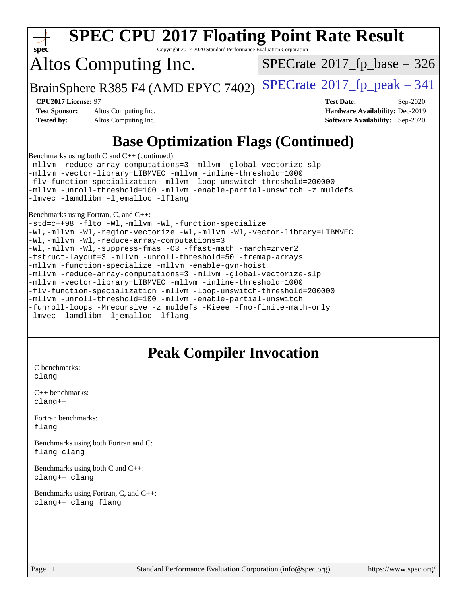

Copyright 2017-2020 Standard Performance Evaluation Corporation

## Altos Computing Inc.

 $SPECTate$ <sup>®</sup>[2017\\_fp\\_base =](http://www.spec.org/auto/cpu2017/Docs/result-fields.html#SPECrate2017fpbase) 326

BrainSphere R385 F4 (AMD EPYC 7402) [SPECrate](http://www.spec.org/auto/cpu2017/Docs/result-fields.html#SPECrate2017fppeak)®[2017\\_fp\\_peak = 3](http://www.spec.org/auto/cpu2017/Docs/result-fields.html#SPECrate2017fppeak)41

**[Test Sponsor:](http://www.spec.org/auto/cpu2017/Docs/result-fields.html#TestSponsor)** Altos Computing Inc. **[Hardware Availability:](http://www.spec.org/auto/cpu2017/Docs/result-fields.html#HardwareAvailability)** Dec-2019 **[Tested by:](http://www.spec.org/auto/cpu2017/Docs/result-fields.html#Testedby)** Altos Computing Inc. **[Software Availability:](http://www.spec.org/auto/cpu2017/Docs/result-fields.html#SoftwareAvailability)** Sep-2020

**[CPU2017 License:](http://www.spec.org/auto/cpu2017/Docs/result-fields.html#CPU2017License)** 97 **[Test Date:](http://www.spec.org/auto/cpu2017/Docs/result-fields.html#TestDate)** Sep-2020

### **[Base Optimization Flags \(Continued\)](http://www.spec.org/auto/cpu2017/Docs/result-fields.html#BaseOptimizationFlags)**

[Benchmarks using both C and C++](http://www.spec.org/auto/cpu2017/Docs/result-fields.html#BenchmarksusingbothCandCXX) (continued):

[-mllvm -reduce-array-computations=3](http://www.spec.org/cpu2017/results/res2020q4/cpu2017-20200918-24012.flags.html#user_CC_CXXbase_F-reduce-array-computations_aceadb8604558b566e0e3a0d7a3c1533923dd1fa0889614e16288028922629a28d5695c24d3b3be4306b1e311c54317dfffe3a2e57fbcaabc737a1798de39145) [-mllvm -global-vectorize-slp](http://www.spec.org/cpu2017/results/res2020q4/cpu2017-20200918-24012.flags.html#user_CC_CXXbase_F-global-vectorize-slp_a3935e8627af4ced727033b1ffd4db27f4d541a363d28d82bf4c2925fb3a0fd4115d6e42d13a2829f9e024d6608eb67a85cb49770f2da5c5ac8dbc737afad603) [-mllvm -vector-library=LIBMVEC](http://www.spec.org/cpu2017/results/res2020q4/cpu2017-20200918-24012.flags.html#user_CC_CXXbase_F-use-vector-library_e584e20b4f7ec96aa109254b65d8e01d864f3d68580371b9d93ed7c338191d4cfce20c3c864632264effc6bbe4c7c38153d02096a342ee92501c4a53204a7871) [-mllvm -inline-threshold=1000](http://www.spec.org/cpu2017/results/res2020q4/cpu2017-20200918-24012.flags.html#user_CC_CXXbase_dragonegg-llvm-inline-threshold_b7832241b0a6397e4ecdbaf0eb7defdc10f885c2a282fa3240fdc99844d543fda39cf8a4a9dccf68cf19b5438ac3b455264f478df15da0f4988afa40d8243bab) [-flv-function-specialization](http://www.spec.org/cpu2017/results/res2020q4/cpu2017-20200918-24012.flags.html#user_CC_CXXbase_F-flv-function-specialization) [-mllvm -loop-unswitch-threshold=200000](http://www.spec.org/cpu2017/results/res2020q4/cpu2017-20200918-24012.flags.html#user_CC_CXXbase_F-loop-unswitch-threshold_f9a82ae3270e55b5fbf79d0d96ee93606b73edbbe527d20b18b7bff1a3a146ad50cfc7454c5297978340ae9213029016a7d16221274d672d3f7f42ed25274e1d) [-mllvm -unroll-threshold=100](http://www.spec.org/cpu2017/results/res2020q4/cpu2017-20200918-24012.flags.html#user_CC_CXXbase_F-unroll-threshold_2755d0c78138845d361fa1543e3a063fffa198df9b3edf0cfb856bbc88a81e1769b12ac7a550c5d35197be55360db1a3f95a8d1304df999456cabf5120c45168) [-mllvm -enable-partial-unswitch](http://www.spec.org/cpu2017/results/res2020q4/cpu2017-20200918-24012.flags.html#user_CC_CXXbase_F-enable-partial-unswitch_6e1c33f981d77963b1eaf834973128a7f33ce3f8e27f54689656697a35e89dcc875281e0e6283d043e32f367dcb605ba0e307a92e830f7e326789fa6c61b35d3) [-z muldefs](http://www.spec.org/cpu2017/results/res2020q4/cpu2017-20200918-24012.flags.html#user_CC_CXXbase_aocc-muldefs) [-lmvec](http://www.spec.org/cpu2017/results/res2020q4/cpu2017-20200918-24012.flags.html#user_CC_CXXbase_F-lmvec) [-lamdlibm](http://www.spec.org/cpu2017/results/res2020q4/cpu2017-20200918-24012.flags.html#user_CC_CXXbase_F-lamdlibm) [-ljemalloc](http://www.spec.org/cpu2017/results/res2020q4/cpu2017-20200918-24012.flags.html#user_CC_CXXbase_jemalloc-lib) [-lflang](http://www.spec.org/cpu2017/results/res2020q4/cpu2017-20200918-24012.flags.html#user_CC_CXXbase_F-lflang)

[Benchmarks using Fortran, C, and C++:](http://www.spec.org/auto/cpu2017/Docs/result-fields.html#BenchmarksusingFortranCandCXX)

[-std=c++98](http://www.spec.org/cpu2017/results/res2020q4/cpu2017-20200918-24012.flags.html#user_CC_CXX_FCbase_std-cpp) [-flto](http://www.spec.org/cpu2017/results/res2020q4/cpu2017-20200918-24012.flags.html#user_CC_CXX_FCbase_aocc-flto) [-Wl,-mllvm -Wl,-function-specialize](http://www.spec.org/cpu2017/results/res2020q4/cpu2017-20200918-24012.flags.html#user_CC_CXX_FCbase_F-function-specialize_7e7e661e57922243ee67c9a1251cb8910e607325179a0ce7f2884e09a6f5d4a5ef0ae4f37e8a2a11c95fc48e931f06dc2b6016f14b511fcb441e048bef1b065a) [-Wl,-mllvm -Wl,-region-vectorize](http://www.spec.org/cpu2017/results/res2020q4/cpu2017-20200918-24012.flags.html#user_CC_CXX_FCbase_F-region-vectorize_fb6c6b5aa293c88efc6c7c2b52b20755e943585b1fe8658c35afef78727fff56e1a56891413c30e36b8e2a6f9a71126986319243e80eb6110b78b288f533c52b) [-Wl,-mllvm -Wl,-vector-library=LIBMVEC](http://www.spec.org/cpu2017/results/res2020q4/cpu2017-20200918-24012.flags.html#user_CC_CXX_FCbase_F-use-vector-library_0a14b27fae317f283640384a31f7bfcc2bd4c1d0b5cfc618a3a430800c9b20217b00f61303eff223a3251b4f06ffbc9739dc5296db9d1fbb9ad24a3939d86d66) [-Wl,-mllvm -Wl,-reduce-array-computations=3](http://www.spec.org/cpu2017/results/res2020q4/cpu2017-20200918-24012.flags.html#user_CC_CXX_FCbase_F-reduce-array-computations_b882aefe7a5dda4e33149f6299762b9a720dace3e498e13756f4c04e5a19edf5315c1f3993de2e61ec41e8c206231f84e05da7040e1bb5d69ba27d10a12507e4) [-Wl,-mllvm -Wl,-suppress-fmas](http://www.spec.org/cpu2017/results/res2020q4/cpu2017-20200918-24012.flags.html#user_CC_CXX_FCbase_F-suppress-fmas_f00f00630e4a059e8af9c161e9bbf420bcf19890a7f99d5933525e66aa4b0bb3ab2339d2b12d97d3a5f5d271e839fe9c109938e91fe06230fb53651590cfa1e8) [-O3](http://www.spec.org/cpu2017/results/res2020q4/cpu2017-20200918-24012.flags.html#user_CC_CXX_FCbase_F-O3) [-ffast-math](http://www.spec.org/cpu2017/results/res2020q4/cpu2017-20200918-24012.flags.html#user_CC_CXX_FCbase_aocc-ffast-math) [-march=znver2](http://www.spec.org/cpu2017/results/res2020q4/cpu2017-20200918-24012.flags.html#user_CC_CXX_FCbase_aocc-march_3e2e19cff2eeef60c5d90b059483627c9ea47eca6d66670dbd53f9185f6439e27eb5e104cf773e9e8ab18c8842ce63e461a3e948d0214bd567ef3ade411bf467) [-fstruct-layout=3](http://www.spec.org/cpu2017/results/res2020q4/cpu2017-20200918-24012.flags.html#user_CC_CXX_FCbase_F-struct-layout) [-mllvm -unroll-threshold=50](http://www.spec.org/cpu2017/results/res2020q4/cpu2017-20200918-24012.flags.html#user_CC_CXX_FCbase_F-unroll-threshold_458874500b2c105d6d5cb4d7a611c40e2b16e9e3d26b355fea72d644c3673b4de4b3932662f0ed3dbec75c491a13da2d2ca81180bd779dc531083ef1e1e549dc) [-fremap-arrays](http://www.spec.org/cpu2017/results/res2020q4/cpu2017-20200918-24012.flags.html#user_CC_CXX_FCbase_F-fremap-arrays) [-mllvm -function-specialize](http://www.spec.org/cpu2017/results/res2020q4/cpu2017-20200918-24012.flags.html#user_CC_CXX_FCbase_F-function-specialize_233b3bdba86027f1b094368157e481c5bc59f40286dc25bfadc1858dcd5745c24fd30d5f188710db7fea399bcc9f44a80b3ce3aacc70a8870250c3ae5e1f35b8) [-mllvm -enable-gvn-hoist](http://www.spec.org/cpu2017/results/res2020q4/cpu2017-20200918-24012.flags.html#user_CC_CXX_FCbase_F-enable-gvn-hoist_e5856354646dd6ca1333a0ad99b817e4cf8932b91b82809fd8fd47ceff7b22a89eba5c98fd3e3fa5200368fd772cec3dd56abc3c8f7b655a71b9f9848dddedd5) [-mllvm -reduce-array-computations=3](http://www.spec.org/cpu2017/results/res2020q4/cpu2017-20200918-24012.flags.html#user_CC_CXX_FCbase_F-reduce-array-computations_aceadb8604558b566e0e3a0d7a3c1533923dd1fa0889614e16288028922629a28d5695c24d3b3be4306b1e311c54317dfffe3a2e57fbcaabc737a1798de39145) [-mllvm -global-vectorize-slp](http://www.spec.org/cpu2017/results/res2020q4/cpu2017-20200918-24012.flags.html#user_CC_CXX_FCbase_F-global-vectorize-slp_a3935e8627af4ced727033b1ffd4db27f4d541a363d28d82bf4c2925fb3a0fd4115d6e42d13a2829f9e024d6608eb67a85cb49770f2da5c5ac8dbc737afad603) [-mllvm -vector-library=LIBMVEC](http://www.spec.org/cpu2017/results/res2020q4/cpu2017-20200918-24012.flags.html#user_CC_CXX_FCbase_F-use-vector-library_e584e20b4f7ec96aa109254b65d8e01d864f3d68580371b9d93ed7c338191d4cfce20c3c864632264effc6bbe4c7c38153d02096a342ee92501c4a53204a7871) [-mllvm -inline-threshold=1000](http://www.spec.org/cpu2017/results/res2020q4/cpu2017-20200918-24012.flags.html#user_CC_CXX_FCbase_dragonegg-llvm-inline-threshold_b7832241b0a6397e4ecdbaf0eb7defdc10f885c2a282fa3240fdc99844d543fda39cf8a4a9dccf68cf19b5438ac3b455264f478df15da0f4988afa40d8243bab) [-flv-function-specialization](http://www.spec.org/cpu2017/results/res2020q4/cpu2017-20200918-24012.flags.html#user_CC_CXX_FCbase_F-flv-function-specialization) [-mllvm -loop-unswitch-threshold=200000](http://www.spec.org/cpu2017/results/res2020q4/cpu2017-20200918-24012.flags.html#user_CC_CXX_FCbase_F-loop-unswitch-threshold_f9a82ae3270e55b5fbf79d0d96ee93606b73edbbe527d20b18b7bff1a3a146ad50cfc7454c5297978340ae9213029016a7d16221274d672d3f7f42ed25274e1d) [-mllvm -unroll-threshold=100](http://www.spec.org/cpu2017/results/res2020q4/cpu2017-20200918-24012.flags.html#user_CC_CXX_FCbase_F-unroll-threshold_2755d0c78138845d361fa1543e3a063fffa198df9b3edf0cfb856bbc88a81e1769b12ac7a550c5d35197be55360db1a3f95a8d1304df999456cabf5120c45168) [-mllvm -enable-partial-unswitch](http://www.spec.org/cpu2017/results/res2020q4/cpu2017-20200918-24012.flags.html#user_CC_CXX_FCbase_F-enable-partial-unswitch_6e1c33f981d77963b1eaf834973128a7f33ce3f8e27f54689656697a35e89dcc875281e0e6283d043e32f367dcb605ba0e307a92e830f7e326789fa6c61b35d3) [-funroll-loops](http://www.spec.org/cpu2017/results/res2020q4/cpu2017-20200918-24012.flags.html#user_CC_CXX_FCbase_aocc-unroll-loops) [-Mrecursive](http://www.spec.org/cpu2017/results/res2020q4/cpu2017-20200918-24012.flags.html#user_CC_CXX_FCbase_F-mrecursive_20a145d63f12d5750a899e17d4450b5b8b40330a9bb4af13688ca650e6fb30857bbbe44fb35cdbb895df6e5b2769de0a0d7659f51ff17acfbef6febafec4023f) [-z muldefs](http://www.spec.org/cpu2017/results/res2020q4/cpu2017-20200918-24012.flags.html#user_CC_CXX_FCbase_aocc-muldefs) [-Kieee](http://www.spec.org/cpu2017/results/res2020q4/cpu2017-20200918-24012.flags.html#user_CC_CXX_FCbase_F-kieee) [-fno-finite-math-only](http://www.spec.org/cpu2017/results/res2020q4/cpu2017-20200918-24012.flags.html#user_CC_CXX_FCbase_aocc-fno-finite-math-only) [-lmvec](http://www.spec.org/cpu2017/results/res2020q4/cpu2017-20200918-24012.flags.html#user_CC_CXX_FCbase_F-lmvec) [-lamdlibm](http://www.spec.org/cpu2017/results/res2020q4/cpu2017-20200918-24012.flags.html#user_CC_CXX_FCbase_F-lamdlibm) [-ljemalloc](http://www.spec.org/cpu2017/results/res2020q4/cpu2017-20200918-24012.flags.html#user_CC_CXX_FCbase_jemalloc-lib) [-lflang](http://www.spec.org/cpu2017/results/res2020q4/cpu2017-20200918-24012.flags.html#user_CC_CXX_FCbase_F-lflang)

### **[Peak Compiler Invocation](http://www.spec.org/auto/cpu2017/Docs/result-fields.html#PeakCompilerInvocation)**

[C benchmarks](http://www.spec.org/auto/cpu2017/Docs/result-fields.html#Cbenchmarks): [clang](http://www.spec.org/cpu2017/results/res2020q4/cpu2017-20200918-24012.flags.html#user_CCpeak_clang-c)

[C++ benchmarks:](http://www.spec.org/auto/cpu2017/Docs/result-fields.html#CXXbenchmarks) [clang++](http://www.spec.org/cpu2017/results/res2020q4/cpu2017-20200918-24012.flags.html#user_CXXpeak_clang-cpp)

[Fortran benchmarks](http://www.spec.org/auto/cpu2017/Docs/result-fields.html#Fortranbenchmarks): [flang](http://www.spec.org/cpu2017/results/res2020q4/cpu2017-20200918-24012.flags.html#user_FCpeak_flang)

[Benchmarks using both Fortran and C](http://www.spec.org/auto/cpu2017/Docs/result-fields.html#BenchmarksusingbothFortranandC): [flang](http://www.spec.org/cpu2017/results/res2020q4/cpu2017-20200918-24012.flags.html#user_CC_FCpeak_flang) [clang](http://www.spec.org/cpu2017/results/res2020q4/cpu2017-20200918-24012.flags.html#user_CC_FCpeak_clang-c)

[Benchmarks using both C and C++](http://www.spec.org/auto/cpu2017/Docs/result-fields.html#BenchmarksusingbothCandCXX): [clang++](http://www.spec.org/cpu2017/results/res2020q4/cpu2017-20200918-24012.flags.html#user_CC_CXXpeak_clang-cpp) [clang](http://www.spec.org/cpu2017/results/res2020q4/cpu2017-20200918-24012.flags.html#user_CC_CXXpeak_clang-c)

[Benchmarks using Fortran, C, and C++:](http://www.spec.org/auto/cpu2017/Docs/result-fields.html#BenchmarksusingFortranCandCXX) [clang++](http://www.spec.org/cpu2017/results/res2020q4/cpu2017-20200918-24012.flags.html#user_CC_CXX_FCpeak_clang-cpp) [clang](http://www.spec.org/cpu2017/results/res2020q4/cpu2017-20200918-24012.flags.html#user_CC_CXX_FCpeak_clang-c) [flang](http://www.spec.org/cpu2017/results/res2020q4/cpu2017-20200918-24012.flags.html#user_CC_CXX_FCpeak_flang)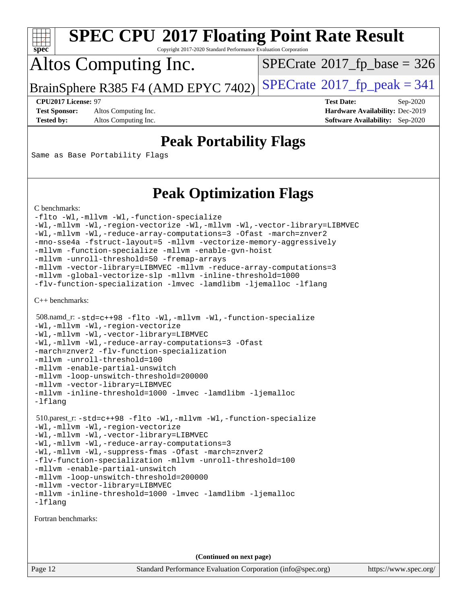

Copyright 2017-2020 Standard Performance Evaluation Corporation

## Altos Computing Inc.

 $SPECTate$ <sup>®</sup>[2017\\_fp\\_base =](http://www.spec.org/auto/cpu2017/Docs/result-fields.html#SPECrate2017fpbase) 326

BrainSphere R385 F4 (AMD EPYC 7402) [SPECrate](http://www.spec.org/auto/cpu2017/Docs/result-fields.html#SPECrate2017fppeak)®[2017\\_fp\\_peak = 3](http://www.spec.org/auto/cpu2017/Docs/result-fields.html#SPECrate2017fppeak)41

**[Test Sponsor:](http://www.spec.org/auto/cpu2017/Docs/result-fields.html#TestSponsor)** Altos Computing Inc. **[Hardware Availability:](http://www.spec.org/auto/cpu2017/Docs/result-fields.html#HardwareAvailability)** Dec-2019

**[CPU2017 License:](http://www.spec.org/auto/cpu2017/Docs/result-fields.html#CPU2017License)** 97 **[Test Date:](http://www.spec.org/auto/cpu2017/Docs/result-fields.html#TestDate)** Sep-2020 **[Tested by:](http://www.spec.org/auto/cpu2017/Docs/result-fields.html#Testedby)** Altos Computing Inc. **[Software Availability:](http://www.spec.org/auto/cpu2017/Docs/result-fields.html#SoftwareAvailability)** Sep-2020

### **[Peak Portability Flags](http://www.spec.org/auto/cpu2017/Docs/result-fields.html#PeakPortabilityFlags)**

Same as Base Portability Flags

### **[Peak Optimization Flags](http://www.spec.org/auto/cpu2017/Docs/result-fields.html#PeakOptimizationFlags)**

[C benchmarks](http://www.spec.org/auto/cpu2017/Docs/result-fields.html#Cbenchmarks):

```
-flto -Wl,-mllvm -Wl,-function-specialize
-Wl,-mllvm -Wl,-region-vectorize -Wl,-mllvm -Wl,-vector-library=LIBMVEC
-Wl,-mllvm -Wl,-reduce-array-computations=3 -Ofast -march=znver2
-mno-sse4a -fstruct-layout=5 -mllvm -vectorize-memory-aggressively
-mllvm -function-specialize -mllvm -enable-gvn-hoist
-mllvm -unroll-threshold=50 -fremap-arrays
-mllvm -vector-library=LIBMVEC -mllvm -reduce-array-computations=3
-mllvm -global-vectorize-slp -mllvm -inline-threshold=1000
-flv-function-specialization -lmvec -lamdlibm -ljemalloc -lflang
```
[C++ benchmarks:](http://www.spec.org/auto/cpu2017/Docs/result-fields.html#CXXbenchmarks)

```
 508.namd_r: -std=c++98 -flto -Wl,-mllvm -Wl,-function-specialize
-Wl,-mllvm -Wl,-region-vectorize
-Wl,-mllvm -Wl,-vector-library=LIBMVEC
-Wl,-mllvm -Wl,-reduce-array-computations=3 -Ofast
-march=znver2 -flv-function-specialization
-mllvm -unroll-threshold=100
-mllvm -enable-partial-unswitch
-mllvm -loop-unswitch-threshold=200000
-mllvm -vector-library=LIBMVEC
-mllvm -inline-threshold=1000 -lmvec -lamdlibm -ljemalloc
-lflang
 510.parest_r: -std=c++98 -flto -Wl,-mllvm -Wl,-function-specialize
-Wl,-mllvm -Wl,-region-vectorize
-Wl,-mllvm -Wl,-vector-library=LIBMVEC
-Wl,-mllvm -Wl,-reduce-array-computations=3
-Wl,-mllvm -Wl,-suppress-fmas -Ofast -march=znver2
-flv-function-specialization -mllvm -unroll-threshold=100
-mllvm -enable-partial-unswitch
-mllvm -loop-unswitch-threshold=200000
-mllvm -vector-library=LIBMVEC
-mllvm -inline-threshold=1000 -lmvec -lamdlibm -ljemalloc
-lflang
```
[Fortran benchmarks](http://www.spec.org/auto/cpu2017/Docs/result-fields.html#Fortranbenchmarks):

**(Continued on next page)**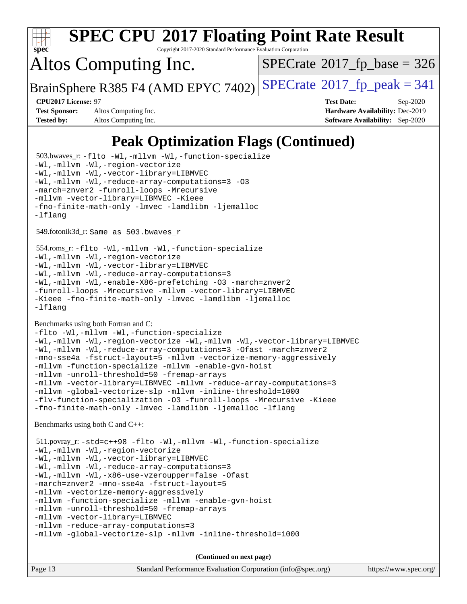

Copyright 2017-2020 Standard Performance Evaluation Corporation

## Altos Computing Inc.

 $SPECTate$ <sup>®</sup>[2017\\_fp\\_base =](http://www.spec.org/auto/cpu2017/Docs/result-fields.html#SPECrate2017fpbase) 326

BrainSphere R385 F4 (AMD EPYC 7402) [SPECrate](http://www.spec.org/auto/cpu2017/Docs/result-fields.html#SPECrate2017fppeak)®[2017\\_fp\\_peak = 3](http://www.spec.org/auto/cpu2017/Docs/result-fields.html#SPECrate2017fppeak)41

**[Test Sponsor:](http://www.spec.org/auto/cpu2017/Docs/result-fields.html#TestSponsor)** Altos Computing Inc. **[Hardware Availability:](http://www.spec.org/auto/cpu2017/Docs/result-fields.html#HardwareAvailability)** Dec-2019 **[Tested by:](http://www.spec.org/auto/cpu2017/Docs/result-fields.html#Testedby)** Altos Computing Inc. **[Software Availability:](http://www.spec.org/auto/cpu2017/Docs/result-fields.html#SoftwareAvailability)** Sep-2020

**[CPU2017 License:](http://www.spec.org/auto/cpu2017/Docs/result-fields.html#CPU2017License)** 97 **[Test Date:](http://www.spec.org/auto/cpu2017/Docs/result-fields.html#TestDate)** Sep-2020

### **[Peak Optimization Flags \(Continued\)](http://www.spec.org/auto/cpu2017/Docs/result-fields.html#PeakOptimizationFlags)**

Page 13 Standard Performance Evaluation Corporation [\(info@spec.org\)](mailto:info@spec.org) <https://www.spec.org/> 503.bwaves\_r: [-flto](http://www.spec.org/cpu2017/results/res2020q4/cpu2017-20200918-24012.flags.html#user_peakFOPTIMIZELDFLAGS503_bwaves_r_aocc-flto) [-Wl,-mllvm -Wl,-function-specialize](http://www.spec.org/cpu2017/results/res2020q4/cpu2017-20200918-24012.flags.html#user_peakLDFLAGS503_bwaves_r_F-function-specialize_7e7e661e57922243ee67c9a1251cb8910e607325179a0ce7f2884e09a6f5d4a5ef0ae4f37e8a2a11c95fc48e931f06dc2b6016f14b511fcb441e048bef1b065a) [-Wl,-mllvm -Wl,-region-vectorize](http://www.spec.org/cpu2017/results/res2020q4/cpu2017-20200918-24012.flags.html#user_peakLDFLAGS503_bwaves_r_F-region-vectorize_fb6c6b5aa293c88efc6c7c2b52b20755e943585b1fe8658c35afef78727fff56e1a56891413c30e36b8e2a6f9a71126986319243e80eb6110b78b288f533c52b) [-Wl,-mllvm -Wl,-vector-library=LIBMVEC](http://www.spec.org/cpu2017/results/res2020q4/cpu2017-20200918-24012.flags.html#user_peakLDFLAGS503_bwaves_r_F-use-vector-library_0a14b27fae317f283640384a31f7bfcc2bd4c1d0b5cfc618a3a430800c9b20217b00f61303eff223a3251b4f06ffbc9739dc5296db9d1fbb9ad24a3939d86d66) [-Wl,-mllvm -Wl,-reduce-array-computations=3](http://www.spec.org/cpu2017/results/res2020q4/cpu2017-20200918-24012.flags.html#user_peakLDFLAGS503_bwaves_r_F-reduce-array-computations_b882aefe7a5dda4e33149f6299762b9a720dace3e498e13756f4c04e5a19edf5315c1f3993de2e61ec41e8c206231f84e05da7040e1bb5d69ba27d10a12507e4) [-O3](http://www.spec.org/cpu2017/results/res2020q4/cpu2017-20200918-24012.flags.html#user_peakFOPTIMIZE503_bwaves_r_F-O3) [-march=znver2](http://www.spec.org/cpu2017/results/res2020q4/cpu2017-20200918-24012.flags.html#user_peakFOPTIMIZE503_bwaves_r_aocc-march_3e2e19cff2eeef60c5d90b059483627c9ea47eca6d66670dbd53f9185f6439e27eb5e104cf773e9e8ab18c8842ce63e461a3e948d0214bd567ef3ade411bf467) [-funroll-loops](http://www.spec.org/cpu2017/results/res2020q4/cpu2017-20200918-24012.flags.html#user_peakFOPTIMIZE503_bwaves_r_aocc-unroll-loops) [-Mrecursive](http://www.spec.org/cpu2017/results/res2020q4/cpu2017-20200918-24012.flags.html#user_peakFOPTIMIZE503_bwaves_r_F-mrecursive_20a145d63f12d5750a899e17d4450b5b8b40330a9bb4af13688ca650e6fb30857bbbe44fb35cdbb895df6e5b2769de0a0d7659f51ff17acfbef6febafec4023f) [-mllvm -vector-library=LIBMVEC](http://www.spec.org/cpu2017/results/res2020q4/cpu2017-20200918-24012.flags.html#user_peakFOPTIMIZE503_bwaves_r_F-use-vector-library_e584e20b4f7ec96aa109254b65d8e01d864f3d68580371b9d93ed7c338191d4cfce20c3c864632264effc6bbe4c7c38153d02096a342ee92501c4a53204a7871) [-Kieee](http://www.spec.org/cpu2017/results/res2020q4/cpu2017-20200918-24012.flags.html#user_peakEXTRA_FFLAGS503_bwaves_r_F-kieee) [-fno-finite-math-only](http://www.spec.org/cpu2017/results/res2020q4/cpu2017-20200918-24012.flags.html#user_peakEXTRA_FFLAGS503_bwaves_r_aocc-fno-finite-math-only) [-lmvec](http://www.spec.org/cpu2017/results/res2020q4/cpu2017-20200918-24012.flags.html#user_peakEXTRA_FLIBSEXTRA_LIBS503_bwaves_r_F-lmvec) [-lamdlibm](http://www.spec.org/cpu2017/results/res2020q4/cpu2017-20200918-24012.flags.html#user_peakEXTRA_FLIBSEXTRA_LIBS503_bwaves_r_F-lamdlibm) [-ljemalloc](http://www.spec.org/cpu2017/results/res2020q4/cpu2017-20200918-24012.flags.html#user_peakEXTRA_LIBS503_bwaves_r_jemalloc-lib) [-lflang](http://www.spec.org/cpu2017/results/res2020q4/cpu2017-20200918-24012.flags.html#user_peakEXTRA_LIBS503_bwaves_r_F-lflang) 549.fotonik3d\_r: Same as 503.bwaves\_r 554.roms\_r: [-flto](http://www.spec.org/cpu2017/results/res2020q4/cpu2017-20200918-24012.flags.html#user_peakFOPTIMIZELDFLAGS554_roms_r_aocc-flto) [-Wl,-mllvm -Wl,-function-specialize](http://www.spec.org/cpu2017/results/res2020q4/cpu2017-20200918-24012.flags.html#user_peakLDFLAGS554_roms_r_F-function-specialize_7e7e661e57922243ee67c9a1251cb8910e607325179a0ce7f2884e09a6f5d4a5ef0ae4f37e8a2a11c95fc48e931f06dc2b6016f14b511fcb441e048bef1b065a) [-Wl,-mllvm -Wl,-region-vectorize](http://www.spec.org/cpu2017/results/res2020q4/cpu2017-20200918-24012.flags.html#user_peakLDFLAGS554_roms_r_F-region-vectorize_fb6c6b5aa293c88efc6c7c2b52b20755e943585b1fe8658c35afef78727fff56e1a56891413c30e36b8e2a6f9a71126986319243e80eb6110b78b288f533c52b) [-Wl,-mllvm -Wl,-vector-library=LIBMVEC](http://www.spec.org/cpu2017/results/res2020q4/cpu2017-20200918-24012.flags.html#user_peakLDFLAGS554_roms_r_F-use-vector-library_0a14b27fae317f283640384a31f7bfcc2bd4c1d0b5cfc618a3a430800c9b20217b00f61303eff223a3251b4f06ffbc9739dc5296db9d1fbb9ad24a3939d86d66) [-Wl,-mllvm -Wl,-reduce-array-computations=3](http://www.spec.org/cpu2017/results/res2020q4/cpu2017-20200918-24012.flags.html#user_peakLDFLAGS554_roms_r_F-reduce-array-computations_b882aefe7a5dda4e33149f6299762b9a720dace3e498e13756f4c04e5a19edf5315c1f3993de2e61ec41e8c206231f84e05da7040e1bb5d69ba27d10a12507e4) [-Wl,-mllvm -Wl,-enable-X86-prefetching](http://www.spec.org/cpu2017/results/res2020q4/cpu2017-20200918-24012.flags.html#user_peakLDFFLAGS554_roms_r_F-enable-X86-prefetching_362de7b2f7f327d498ff3502bcaa6d8937de40fbbc59a600e539433e6b2cb9ea5e30d4a00c3465ce74a160670b5fcaffd57d10fdc90b0d7ee2c6f387a6bf1aee) [-O3](http://www.spec.org/cpu2017/results/res2020q4/cpu2017-20200918-24012.flags.html#user_peakFOPTIMIZE554_roms_r_F-O3) [-march=znver2](http://www.spec.org/cpu2017/results/res2020q4/cpu2017-20200918-24012.flags.html#user_peakFOPTIMIZE554_roms_r_aocc-march_3e2e19cff2eeef60c5d90b059483627c9ea47eca6d66670dbd53f9185f6439e27eb5e104cf773e9e8ab18c8842ce63e461a3e948d0214bd567ef3ade411bf467) [-funroll-loops](http://www.spec.org/cpu2017/results/res2020q4/cpu2017-20200918-24012.flags.html#user_peakFOPTIMIZE554_roms_r_aocc-unroll-loops) [-Mrecursive](http://www.spec.org/cpu2017/results/res2020q4/cpu2017-20200918-24012.flags.html#user_peakFOPTIMIZE554_roms_r_F-mrecursive_20a145d63f12d5750a899e17d4450b5b8b40330a9bb4af13688ca650e6fb30857bbbe44fb35cdbb895df6e5b2769de0a0d7659f51ff17acfbef6febafec4023f) [-mllvm -vector-library=LIBMVEC](http://www.spec.org/cpu2017/results/res2020q4/cpu2017-20200918-24012.flags.html#user_peakFOPTIMIZE554_roms_r_F-use-vector-library_e584e20b4f7ec96aa109254b65d8e01d864f3d68580371b9d93ed7c338191d4cfce20c3c864632264effc6bbe4c7c38153d02096a342ee92501c4a53204a7871) [-Kieee](http://www.spec.org/cpu2017/results/res2020q4/cpu2017-20200918-24012.flags.html#user_peakEXTRA_FFLAGS554_roms_r_F-kieee) [-fno-finite-math-only](http://www.spec.org/cpu2017/results/res2020q4/cpu2017-20200918-24012.flags.html#user_peakEXTRA_FFLAGS554_roms_r_aocc-fno-finite-math-only) [-lmvec](http://www.spec.org/cpu2017/results/res2020q4/cpu2017-20200918-24012.flags.html#user_peakEXTRA_FLIBSEXTRA_LIBS554_roms_r_F-lmvec) [-lamdlibm](http://www.spec.org/cpu2017/results/res2020q4/cpu2017-20200918-24012.flags.html#user_peakEXTRA_FLIBSEXTRA_LIBS554_roms_r_F-lamdlibm) [-ljemalloc](http://www.spec.org/cpu2017/results/res2020q4/cpu2017-20200918-24012.flags.html#user_peakEXTRA_LIBS554_roms_r_jemalloc-lib) [-lflang](http://www.spec.org/cpu2017/results/res2020q4/cpu2017-20200918-24012.flags.html#user_peakEXTRA_LIBS554_roms_r_F-lflang) [Benchmarks using both Fortran and C](http://www.spec.org/auto/cpu2017/Docs/result-fields.html#BenchmarksusingbothFortranandC): [-flto](http://www.spec.org/cpu2017/results/res2020q4/cpu2017-20200918-24012.flags.html#user_CC_FCpeak_aocc-flto) [-Wl,-mllvm -Wl,-function-specialize](http://www.spec.org/cpu2017/results/res2020q4/cpu2017-20200918-24012.flags.html#user_CC_FCpeak_F-function-specialize_7e7e661e57922243ee67c9a1251cb8910e607325179a0ce7f2884e09a6f5d4a5ef0ae4f37e8a2a11c95fc48e931f06dc2b6016f14b511fcb441e048bef1b065a) [-Wl,-mllvm -Wl,-region-vectorize](http://www.spec.org/cpu2017/results/res2020q4/cpu2017-20200918-24012.flags.html#user_CC_FCpeak_F-region-vectorize_fb6c6b5aa293c88efc6c7c2b52b20755e943585b1fe8658c35afef78727fff56e1a56891413c30e36b8e2a6f9a71126986319243e80eb6110b78b288f533c52b) [-Wl,-mllvm -Wl,-vector-library=LIBMVEC](http://www.spec.org/cpu2017/results/res2020q4/cpu2017-20200918-24012.flags.html#user_CC_FCpeak_F-use-vector-library_0a14b27fae317f283640384a31f7bfcc2bd4c1d0b5cfc618a3a430800c9b20217b00f61303eff223a3251b4f06ffbc9739dc5296db9d1fbb9ad24a3939d86d66) [-Wl,-mllvm -Wl,-reduce-array-computations=3](http://www.spec.org/cpu2017/results/res2020q4/cpu2017-20200918-24012.flags.html#user_CC_FCpeak_F-reduce-array-computations_b882aefe7a5dda4e33149f6299762b9a720dace3e498e13756f4c04e5a19edf5315c1f3993de2e61ec41e8c206231f84e05da7040e1bb5d69ba27d10a12507e4) [-Ofast](http://www.spec.org/cpu2017/results/res2020q4/cpu2017-20200918-24012.flags.html#user_CC_FCpeak_aocc-Ofast) [-march=znver2](http://www.spec.org/cpu2017/results/res2020q4/cpu2017-20200918-24012.flags.html#user_CC_FCpeak_aocc-march_3e2e19cff2eeef60c5d90b059483627c9ea47eca6d66670dbd53f9185f6439e27eb5e104cf773e9e8ab18c8842ce63e461a3e948d0214bd567ef3ade411bf467) [-mno-sse4a](http://www.spec.org/cpu2017/results/res2020q4/cpu2017-20200918-24012.flags.html#user_CC_FCpeak_F-mno-sse4a) [-fstruct-layout=5](http://www.spec.org/cpu2017/results/res2020q4/cpu2017-20200918-24012.flags.html#user_CC_FCpeak_F-struct-layout_0de9d3561e9f54a54e0843cce081bd13a08ab3e9a82696f3346606c2e11360c37113781019b02fa128d9f650e68f1ffd209bab5c3a026c1ad23e4e7f60646b23) [-mllvm -vectorize-memory-aggressively](http://www.spec.org/cpu2017/results/res2020q4/cpu2017-20200918-24012.flags.html#user_CC_FCpeak_F-vectorize-memory-aggressively_24b72a4417f50ade9e698c5b3bed87ab456cc6fc8ec6439480cb84f36ad6a3975af6e87206dea402e3871a1464ff3d60bc798e0250f330177ba629a260df1857) [-mllvm -function-specialize](http://www.spec.org/cpu2017/results/res2020q4/cpu2017-20200918-24012.flags.html#user_CC_FCpeak_F-function-specialize_233b3bdba86027f1b094368157e481c5bc59f40286dc25bfadc1858dcd5745c24fd30d5f188710db7fea399bcc9f44a80b3ce3aacc70a8870250c3ae5e1f35b8) [-mllvm -enable-gvn-hoist](http://www.spec.org/cpu2017/results/res2020q4/cpu2017-20200918-24012.flags.html#user_CC_FCpeak_F-enable-gvn-hoist_e5856354646dd6ca1333a0ad99b817e4cf8932b91b82809fd8fd47ceff7b22a89eba5c98fd3e3fa5200368fd772cec3dd56abc3c8f7b655a71b9f9848dddedd5) [-mllvm -unroll-threshold=50](http://www.spec.org/cpu2017/results/res2020q4/cpu2017-20200918-24012.flags.html#user_CC_FCpeak_F-unroll-threshold_458874500b2c105d6d5cb4d7a611c40e2b16e9e3d26b355fea72d644c3673b4de4b3932662f0ed3dbec75c491a13da2d2ca81180bd779dc531083ef1e1e549dc) [-fremap-arrays](http://www.spec.org/cpu2017/results/res2020q4/cpu2017-20200918-24012.flags.html#user_CC_FCpeak_F-fremap-arrays) [-mllvm -vector-library=LIBMVEC](http://www.spec.org/cpu2017/results/res2020q4/cpu2017-20200918-24012.flags.html#user_CC_FCpeak_F-use-vector-library_e584e20b4f7ec96aa109254b65d8e01d864f3d68580371b9d93ed7c338191d4cfce20c3c864632264effc6bbe4c7c38153d02096a342ee92501c4a53204a7871) [-mllvm -reduce-array-computations=3](http://www.spec.org/cpu2017/results/res2020q4/cpu2017-20200918-24012.flags.html#user_CC_FCpeak_F-reduce-array-computations_aceadb8604558b566e0e3a0d7a3c1533923dd1fa0889614e16288028922629a28d5695c24d3b3be4306b1e311c54317dfffe3a2e57fbcaabc737a1798de39145) [-mllvm -global-vectorize-slp](http://www.spec.org/cpu2017/results/res2020q4/cpu2017-20200918-24012.flags.html#user_CC_FCpeak_F-global-vectorize-slp_a3935e8627af4ced727033b1ffd4db27f4d541a363d28d82bf4c2925fb3a0fd4115d6e42d13a2829f9e024d6608eb67a85cb49770f2da5c5ac8dbc737afad603) [-mllvm -inline-threshold=1000](http://www.spec.org/cpu2017/results/res2020q4/cpu2017-20200918-24012.flags.html#user_CC_FCpeak_dragonegg-llvm-inline-threshold_b7832241b0a6397e4ecdbaf0eb7defdc10f885c2a282fa3240fdc99844d543fda39cf8a4a9dccf68cf19b5438ac3b455264f478df15da0f4988afa40d8243bab) [-flv-function-specialization](http://www.spec.org/cpu2017/results/res2020q4/cpu2017-20200918-24012.flags.html#user_CC_FCpeak_F-flv-function-specialization) [-O3](http://www.spec.org/cpu2017/results/res2020q4/cpu2017-20200918-24012.flags.html#user_CC_FCpeak_F-O3) [-funroll-loops](http://www.spec.org/cpu2017/results/res2020q4/cpu2017-20200918-24012.flags.html#user_CC_FCpeak_aocc-unroll-loops) [-Mrecursive](http://www.spec.org/cpu2017/results/res2020q4/cpu2017-20200918-24012.flags.html#user_CC_FCpeak_F-mrecursive_20a145d63f12d5750a899e17d4450b5b8b40330a9bb4af13688ca650e6fb30857bbbe44fb35cdbb895df6e5b2769de0a0d7659f51ff17acfbef6febafec4023f) [-Kieee](http://www.spec.org/cpu2017/results/res2020q4/cpu2017-20200918-24012.flags.html#user_CC_FCpeak_F-kieee) [-fno-finite-math-only](http://www.spec.org/cpu2017/results/res2020q4/cpu2017-20200918-24012.flags.html#user_CC_FCpeak_aocc-fno-finite-math-only) [-lmvec](http://www.spec.org/cpu2017/results/res2020q4/cpu2017-20200918-24012.flags.html#user_CC_FCpeak_F-lmvec) [-lamdlibm](http://www.spec.org/cpu2017/results/res2020q4/cpu2017-20200918-24012.flags.html#user_CC_FCpeak_F-lamdlibm) [-ljemalloc](http://www.spec.org/cpu2017/results/res2020q4/cpu2017-20200918-24012.flags.html#user_CC_FCpeak_jemalloc-lib) [-lflang](http://www.spec.org/cpu2017/results/res2020q4/cpu2017-20200918-24012.flags.html#user_CC_FCpeak_F-lflang) [Benchmarks using both C and C++](http://www.spec.org/auto/cpu2017/Docs/result-fields.html#BenchmarksusingbothCandCXX): 511.povray\_r: [-std=c++98](http://www.spec.org/cpu2017/results/res2020q4/cpu2017-20200918-24012.flags.html#user_peakCXXLD511_povray_r_std-cpp) [-flto](http://www.spec.org/cpu2017/results/res2020q4/cpu2017-20200918-24012.flags.html#user_peakCOPTIMIZECXXOPTIMIZELDFLAGS511_povray_r_aocc-flto) [-Wl,-mllvm -Wl,-function-specialize](http://www.spec.org/cpu2017/results/res2020q4/cpu2017-20200918-24012.flags.html#user_peakLDFLAGS511_povray_r_F-function-specialize_7e7e661e57922243ee67c9a1251cb8910e607325179a0ce7f2884e09a6f5d4a5ef0ae4f37e8a2a11c95fc48e931f06dc2b6016f14b511fcb441e048bef1b065a) [-Wl,-mllvm -Wl,-region-vectorize](http://www.spec.org/cpu2017/results/res2020q4/cpu2017-20200918-24012.flags.html#user_peakLDFLAGS511_povray_r_F-region-vectorize_fb6c6b5aa293c88efc6c7c2b52b20755e943585b1fe8658c35afef78727fff56e1a56891413c30e36b8e2a6f9a71126986319243e80eb6110b78b288f533c52b) [-Wl,-mllvm -Wl,-vector-library=LIBMVEC](http://www.spec.org/cpu2017/results/res2020q4/cpu2017-20200918-24012.flags.html#user_peakLDFLAGS511_povray_r_F-use-vector-library_0a14b27fae317f283640384a31f7bfcc2bd4c1d0b5cfc618a3a430800c9b20217b00f61303eff223a3251b4f06ffbc9739dc5296db9d1fbb9ad24a3939d86d66) [-Wl,-mllvm -Wl,-reduce-array-computations=3](http://www.spec.org/cpu2017/results/res2020q4/cpu2017-20200918-24012.flags.html#user_peakLDFLAGS511_povray_r_F-reduce-array-computations_b882aefe7a5dda4e33149f6299762b9a720dace3e498e13756f4c04e5a19edf5315c1f3993de2e61ec41e8c206231f84e05da7040e1bb5d69ba27d10a12507e4) [-Wl,-mllvm -Wl,-x86-use-vzeroupper=false](http://www.spec.org/cpu2017/results/res2020q4/cpu2017-20200918-24012.flags.html#user_peakLDCXXFLAGS511_povray_r_F-no-vzeroupper_f792211b0552b0142c11cf651c85f88d7eca3e3e6d4ab29ab8b0b7be9c7d83df7aebb846b5dded1424ec84d39acb59d058815f97bc3ae9de4ba00ee4e2945c83) [-Ofast](http://www.spec.org/cpu2017/results/res2020q4/cpu2017-20200918-24012.flags.html#user_peakCOPTIMIZECXXOPTIMIZE511_povray_r_aocc-Ofast) [-march=znver2](http://www.spec.org/cpu2017/results/res2020q4/cpu2017-20200918-24012.flags.html#user_peakCOPTIMIZECXXOPTIMIZE511_povray_r_aocc-march_3e2e19cff2eeef60c5d90b059483627c9ea47eca6d66670dbd53f9185f6439e27eb5e104cf773e9e8ab18c8842ce63e461a3e948d0214bd567ef3ade411bf467) [-mno-sse4a](http://www.spec.org/cpu2017/results/res2020q4/cpu2017-20200918-24012.flags.html#user_peakCOPTIMIZE511_povray_r_F-mno-sse4a) [-fstruct-layout=5](http://www.spec.org/cpu2017/results/res2020q4/cpu2017-20200918-24012.flags.html#user_peakCOPTIMIZE511_povray_r_F-struct-layout_0de9d3561e9f54a54e0843cce081bd13a08ab3e9a82696f3346606c2e11360c37113781019b02fa128d9f650e68f1ffd209bab5c3a026c1ad23e4e7f60646b23) [-mllvm -vectorize-memory-aggressively](http://www.spec.org/cpu2017/results/res2020q4/cpu2017-20200918-24012.flags.html#user_peakCOPTIMIZE511_povray_r_F-vectorize-memory-aggressively_24b72a4417f50ade9e698c5b3bed87ab456cc6fc8ec6439480cb84f36ad6a3975af6e87206dea402e3871a1464ff3d60bc798e0250f330177ba629a260df1857) [-mllvm -function-specialize](http://www.spec.org/cpu2017/results/res2020q4/cpu2017-20200918-24012.flags.html#user_peakCOPTIMIZE511_povray_r_F-function-specialize_233b3bdba86027f1b094368157e481c5bc59f40286dc25bfadc1858dcd5745c24fd30d5f188710db7fea399bcc9f44a80b3ce3aacc70a8870250c3ae5e1f35b8) [-mllvm -enable-gvn-hoist](http://www.spec.org/cpu2017/results/res2020q4/cpu2017-20200918-24012.flags.html#user_peakCOPTIMIZE511_povray_r_F-enable-gvn-hoist_e5856354646dd6ca1333a0ad99b817e4cf8932b91b82809fd8fd47ceff7b22a89eba5c98fd3e3fa5200368fd772cec3dd56abc3c8f7b655a71b9f9848dddedd5) [-mllvm -unroll-threshold=50](http://www.spec.org/cpu2017/results/res2020q4/cpu2017-20200918-24012.flags.html#user_peakCOPTIMIZE511_povray_r_F-unroll-threshold_458874500b2c105d6d5cb4d7a611c40e2b16e9e3d26b355fea72d644c3673b4de4b3932662f0ed3dbec75c491a13da2d2ca81180bd779dc531083ef1e1e549dc) [-fremap-arrays](http://www.spec.org/cpu2017/results/res2020q4/cpu2017-20200918-24012.flags.html#user_peakCOPTIMIZE511_povray_r_F-fremap-arrays) [-mllvm -vector-library=LIBMVEC](http://www.spec.org/cpu2017/results/res2020q4/cpu2017-20200918-24012.flags.html#user_peakCOPTIMIZECXXOPTIMIZE511_povray_r_F-use-vector-library_e584e20b4f7ec96aa109254b65d8e01d864f3d68580371b9d93ed7c338191d4cfce20c3c864632264effc6bbe4c7c38153d02096a342ee92501c4a53204a7871) [-mllvm -reduce-array-computations=3](http://www.spec.org/cpu2017/results/res2020q4/cpu2017-20200918-24012.flags.html#user_peakCOPTIMIZE511_povray_r_F-reduce-array-computations_aceadb8604558b566e0e3a0d7a3c1533923dd1fa0889614e16288028922629a28d5695c24d3b3be4306b1e311c54317dfffe3a2e57fbcaabc737a1798de39145) [-mllvm -global-vectorize-slp](http://www.spec.org/cpu2017/results/res2020q4/cpu2017-20200918-24012.flags.html#user_peakCOPTIMIZE511_povray_r_F-global-vectorize-slp_a3935e8627af4ced727033b1ffd4db27f4d541a363d28d82bf4c2925fb3a0fd4115d6e42d13a2829f9e024d6608eb67a85cb49770f2da5c5ac8dbc737afad603) [-mllvm -inline-threshold=1000](http://www.spec.org/cpu2017/results/res2020q4/cpu2017-20200918-24012.flags.html#user_peakCOPTIMIZECXXOPTIMIZE511_povray_r_dragonegg-llvm-inline-threshold_b7832241b0a6397e4ecdbaf0eb7defdc10f885c2a282fa3240fdc99844d543fda39cf8a4a9dccf68cf19b5438ac3b455264f478df15da0f4988afa40d8243bab) **(Continued on next page)**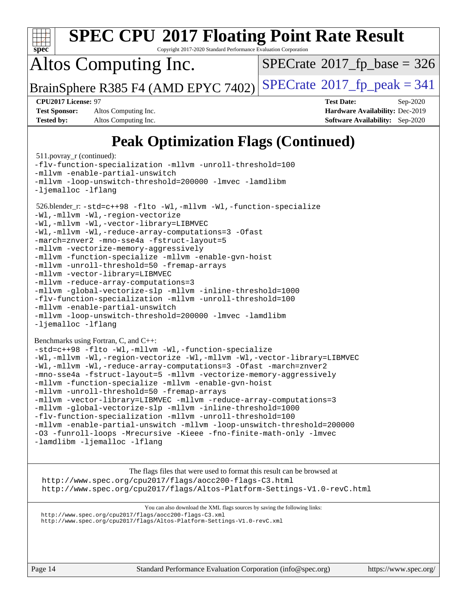